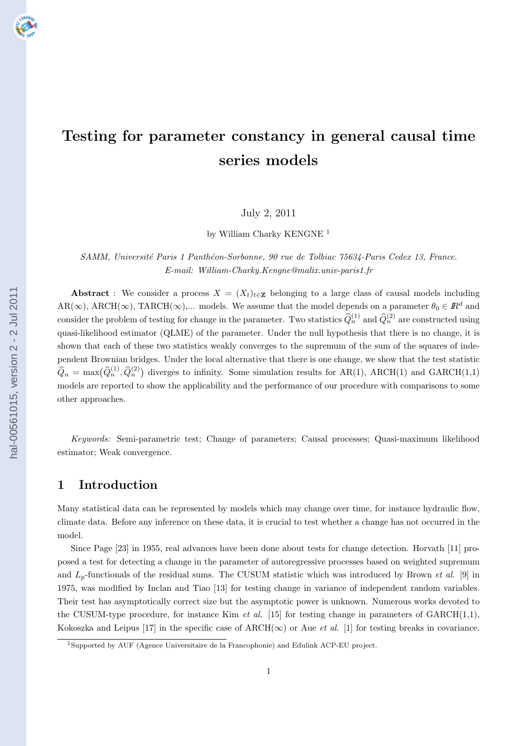# **Testing for parameter constancy in general causal time series models**

July 2, 2011

by William Charky KENGNE<sup>1</sup>

*SAMM, Universit´e Paris 1 Panth´eon-Sorbonne, 90 rue de Tolbiac 75634-Paris Cedex 13, France. E-mail: William-Charky.Kengne@malix.univ-paris1.fr*

**Abstract** : We consider a process  $X = (X_t)_{t \in \mathbb{Z}}$  belonging to a large class of causal models including  $AR(\infty)$ ,  $ARCH(\infty)$ ,  $TARCH(\infty)$ ,... models. We assume that the model depends on a parameter  $\theta_0 \in \mathbb{R}^d$  and consider the problem of testing for change in the parameter. Two statistics  $\widehat{Q}_n^{(1)}$  and  $\widehat{Q}_n^{(2)}$  are constructed using quasi-likelihood estimator (QLME) of the parameter. Under the null hypothesis that there is no change, it is shown that each of these two statistics weakly converges to the supremum of the sum of the squares of independent Brownian bridges. Under the local alternative that there is one change, we show that the test statistic  $\hat{Q}_n = \max(\hat{Q}_n^{(1)}, \hat{Q}_n^{(2)})$  diverges to infinity. Some simulation results for AR(1), ARCH(1) and GARCH(1,1) models are reported to show the applicability and the performance of our procedure with comparisons to some other approaches.

*Keywords:* Semi-parametric test; Change of parameters; Causal processes; Quasi-maximum likelihood estimator; Weak convergence.

# **1 Introduction**

Many statistical data can be represented by models which may change over time, for instance hydraulic flow, climate data. Before any inference on these data, it is crucial to test whether a change has not occurred in the model.

Since Page [23] in 1955, real advances have been done about tests for change detection. Horvath [11] proposed a test for detecting a change in the parameter of autoregressive processes based on weighted supremum and *Lp*-functionals of the residual sums. The CUSUM statistic which was introduced by Brown *et al.* [9] in 1975, was modified by Inclan and Tiao [13] for testing change in variance of independent random variables. Their test has asymptotically correct size but the asymptotic power is unknown. Numerous works devoted to the CUSUM-type procedure, for instance Kim *et al.* [15] for testing change in parameters of  $GARCH(1,1)$ , Kokoszka and Leipus [17] in the specific case of  $\text{ARCH}(\infty)$  or Aue *et al.* [1] for testing breaks in covariance.

<sup>1</sup>Supported by AUF (Agence Universitaire de la Francophonie) and Edulink ACP-EU project.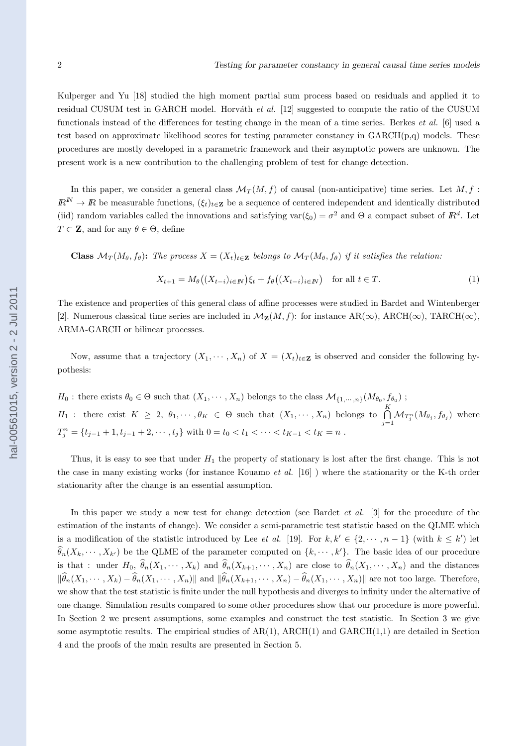Kulperger and Yu [18] studied the high moment partial sum process based on residuals and applied it to residual CUSUM test in GARCH model. Horváth *et al.* [12] suggested to compute the ratio of the CUSUM functionals instead of the differences for testing change in the mean of a time series. Berkes *et al.* [6] used a test based on approximate likelihood scores for testing parameter constancy in  $GARCH(p,q)$  models. These procedures are mostly developed in a parametric framework and their asymptotic powers are unknown. The present work is a new contribution to the challenging problem of test for change detection.

In this paper, we consider a general class  $\mathcal{M}_T(M, f)$  of causal (non-anticipative) time series. Let M, f:  $I\!\!R^N \to I\!\!R$  be measurable functions,  $(\xi_t)_{t \in \mathbf{Z}}$  be a sequence of centered independent and identically distributed (iid) random variables called the innovations and satisfying var $(\xi_0) = \sigma^2$  and  $\Theta$  a compact subset of  $\mathbb{R}^d$ . Let  $T \subset \mathbf{Z}$ , and for any  $\theta \in \Theta$ , define

**Class**  $\mathcal{M}_T(M_\theta, f_\theta)$ : The process  $X = (X_t)_{t \in \mathbb{Z}}$  belongs to  $\mathcal{M}_T(M_\theta, f_\theta)$  if it satisfies the relation:

$$
X_{t+1} = M_{\theta}\big((X_{t-i})_{i \in \mathbb{N}}\big)\xi_t + f_{\theta}\big((X_{t-i})_{i \in \mathbb{N}}\big) \quad \text{for all } t \in \mathbb{T}.\tag{1}
$$

The existence and properties of this general class of affine processes were studied in Bardet and Wintenberger [2]. Numerous classical time series are included in  $\mathcal{M}_{\mathbf{Z}}(M, f)$ : for instance AR( $\infty$ ), ARCH( $\infty$ ), TARCH( $\infty$ ), ARMA-GARCH or bilinear processes.

Now, assume that a trajectory  $(X_1, \dots, X_n)$  of  $X = (X_t)_{t \in \mathbb{Z}}$  is observed and consider the following hypothesis:

*H*<sup>0</sup> : there exists  $\theta_0 \in \Theta$  such that  $(X_1, \dots, X_n)$  belongs to the class  $\mathcal{M}_{\{1,\dots,n\}}(M_{\theta_0}, f_{\theta_0})$ ; *H*<sub>1</sub> : there exist  $K \geq 2$ ,  $\theta_1, \dots, \theta_K \in \Theta$  such that  $(X_1, \dots, X_n)$  belongs to  $\bigcap^K$  $\bigcap_{j=1} \mathcal{M}_{T_j^n}(M_{\theta_j}, f_{\theta_j})$  where  $T_j^n = \{t_{j-1} + 1, t_{j-1} + 2, \cdots, t_j\}$  with  $0 = t_0 < t_1 < \cdots < t_{K-1} < t_K = n$ .

Thus, it is easy to see that under *H*<sup>1</sup> the property of stationary is lost after the first change. This is not the case in many existing works (for instance Kouamo *et al.* [16] ) where the stationarity or the K-th order stationarity after the change is an essential assumption.

In this paper we study a new test for change detection (see Bardet *et al.* [3] for the procedure of the estimation of the instants of change). We consider a semi-parametric test statistic based on the QLME which is a modification of the statistic introduced by Lee *et al.* [19]. For  $k, k' \in \{2, \dots, n-1\}$  (with  $k \leq k'$ ) let  $\widehat{\theta}_n(X_k, \dots, X_{k'})$  be the QLME of the parameter computed on  $\{k, \dots, k'\}$ . The basic idea of our procedure is that: under  $H_0$ ,  $\hat{\theta}_n(X_1,\dots,X_k)$  and  $\hat{\theta}_n(X_{k+1},\dots,X_n)$  are close to  $\hat{\theta}_n(X_1,\dots,X_n)$  and the distances  $\|\widehat{\theta}_n(X_1,\dots,X_k)-\widehat{\theta}_n(X_1,\dots,X_n)\|$  and  $\|\widehat{\theta}_n(X_{k+1},\dots,X_n)-\widehat{\theta}_n(X_1,\dots,X_n)\|$  are not too large. Therefore, we show that the test statistic is finite under the null hypothesis and diverges to infinity under the alternative of one change. Simulation results compared to some other procedures show that our procedure is more powerful. In Section 2 we present assumptions, some examples and construct the test statistic. In Section 3 we give some asymptotic results. The empirical studies of  $AR(1)$ ,  $ARCH(1)$  and  $GARCH(1,1)$  are detailed in Section 4 and the proofs of the main results are presented in Section 5.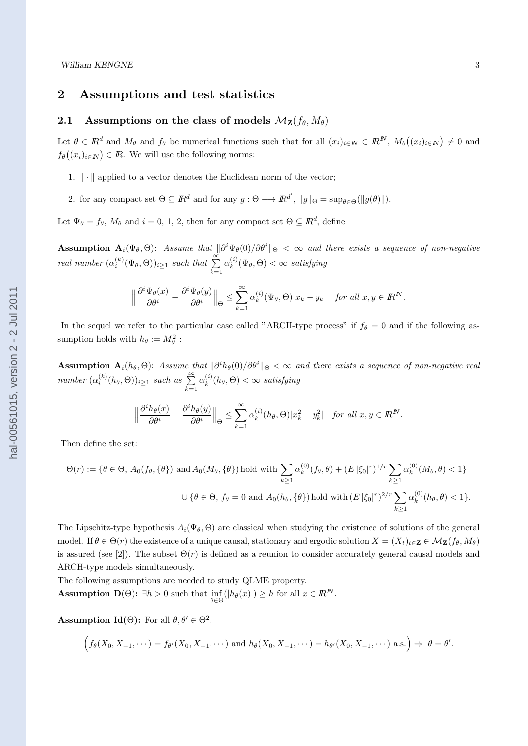# **2 Assumptions and test statistics**

# **2.1** Assumptions on the class of models  $\mathcal{M}_{\mathbf{Z}}(f_{\theta}, M_{\theta})$

Let  $\theta \in \mathbb{R}^d$  and  $M_\theta$  and  $f_\theta$  be numerical functions such that for all  $(x_i)_{i \in \mathbb{N}} \in \mathbb{R}^N$ ,  $M_\theta((x_i)_{i \in \mathbb{N}}) \neq 0$  and  $f_{\theta}((x_i)_{i \in \mathbb{N}}) \in \mathbb{R}$ . We will use the following norms:

- 1. *∥ · ∥* applied to a vector denotes the Euclidean norm of the vector;
- 2. for any compact set  $\Theta \subseteq \mathbb{R}^d$  and for any  $g : \Theta \longrightarrow \mathbb{R}^{d'}$ ,  $||g||_{\Theta} = \sup_{\theta \in \Theta} (||g(\theta)||)$ .

Let  $\Psi_{\theta} = f_{\theta}, M_{\theta}$  and  $i = 0, 1, 2$ , then for any compact set  $\Theta \subseteq \mathbb{R}^d$ , define

 $\textbf{Assumption A}_{i}(\Psi_{\theta},\Theta):$  *Assume that*  $\|\partial^{i}\Psi_{\theta}(0)/\partial\theta^{i}\|_{\Theta} < \infty$  and there exists a sequence of non-negative *real number*  $(\alpha_i^{(k)}(\Psi_{\theta}, \Theta))_{i \geq 1}$  *such that*  $\sum_{k=1}^{\infty}$  $\alpha_k^{(i)}$  $g_k^{(i)}(\Psi_\theta, \Theta) < \infty$  *satisfying* 

$$
\Big\|\frac{\partial^i\Psi_{\theta}(x)}{\partial\theta^i}-\frac{\partial^i\Psi_{\theta}(y)}{\partial\theta^i}\Big\|_{\Theta}\leq\sum_{k=1}^\infty\alpha_k^{(i)}(\Psi_{\theta},\Theta)|x_k-y_k|\quad\textit{for all }x,y\in{\rm I\!R}^N.
$$

In the sequel we refer to the particular case called "ARCH-type process" if  $f_{\theta} = 0$  and if the following assumption holds with  $h_{\theta} := M_{\theta}^2$ :

**Assumption**  $\mathbf{A}_i(h_\theta, \Theta)$ **:** Assume that  $\|\partial^i h_\theta(0)/\partial \theta^i\|_{\Theta} < \infty$  and there exists a sequence of non-negative real *number*  $(\alpha_i^{(k)}(h_\theta, \Theta))_{i \geq 1}$  *such as*  $\sum_{k=1}^{\infty}$  $\alpha_k^{(i)}$  $\binom{n}{k}$   $(h_{\theta}, \Theta) < \infty$  *satisfying* 

$$
\left\|\frac{\partial^i h_{\theta}(x)}{\partial \theta^i} - \frac{\partial^i h_{\theta}(y)}{\partial \theta^i}\right\|_{\Theta} \le \sum_{k=1}^{\infty} \alpha_k^{(i)}(h_{\theta}, \Theta) |x_k^2 - y_k^2| \quad \text{for all } x, y \in \mathbb{R}^N.
$$

Then define the set:

$$
\Theta(r) := \{ \theta \in \Theta, A_0(f_\theta, \{\theta\}) \text{ and } A_0(M_\theta, \{\theta\}) \text{ hold with } \sum_{k \ge 1} \alpha_k^{(0)}(f_\theta, \theta) + (E |\xi_0|^r)^{1/r} \sum_{k \ge 1} \alpha_k^{(0)}(M_\theta, \theta) < 1 \}
$$
\n
$$
\cup \{ \theta \in \Theta, f_\theta = 0 \text{ and } A_0(h_\theta, \{\theta\}) \text{ hold with } (E |\xi_0|^r)^{2/r} \sum_{k \ge 1} \alpha_k^{(0)}(h_\theta, \theta) < 1 \}.
$$

The Lipschitz-type hypothesis  $A_i(\Psi_{\theta}, \Theta)$  are classical when studying the existence of solutions of the general model. If  $\theta \in \Theta(r)$  the existence of a unique causal, stationary and ergodic solution  $X = (X_t)_{t \in \mathbf{Z}} \in \mathcal{M}_{\mathbf{Z}}(f_\theta, M_\theta)$ is assured (see [2]). The subset  $\Theta(r)$  is defined as a reunion to consider accurately general causal models and ARCH-type models simultaneously.

The following assumptions are needed to study QLME property. **Assumption**  $D(\Theta)$ :  $\exists \underline{h} > 0$  such that  $\inf_{\theta \in \Theta} (|h_{\theta}(x)|) \geq \underline{h}$  for all  $x \in \mathbb{R}^N$ .

**Assumption Id(** $\Theta$ **):** For all  $\theta, \theta' \in \Theta^2$ ,

$$
\Big( f_{\theta}(X_0,X_{-1},\cdots) = f_{\theta'}(X_0,X_{-1},\cdots) \text{ and } h_{\theta}(X_0,X_{-1},\cdots) = h_{\theta'}(X_0,X_{-1},\cdots) \text{ a.s.} \Big) \Rightarrow \theta = \theta'.
$$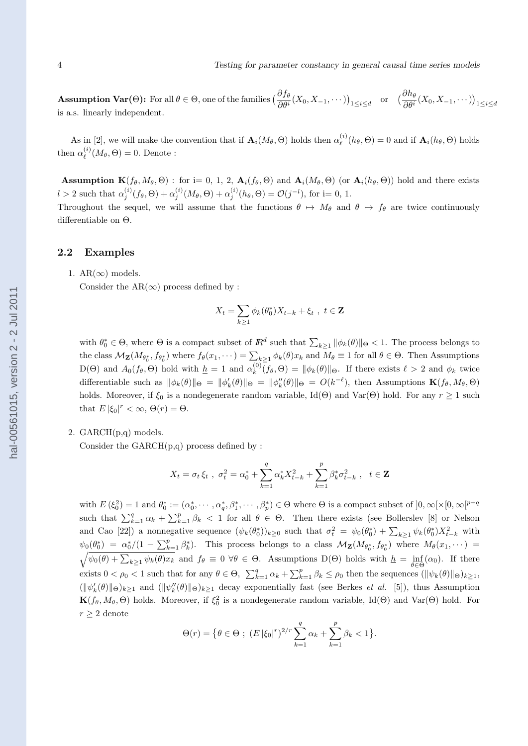**Assumption Var(O):** For all  $\theta \in \Theta$ , one of the families  $\left(\frac{\partial f_{\theta}}{\partial \theta^{i}}(X_0, X_{-1}, \dots)\right)_{1 \leq i \leq d}$  or  $\left(\frac{\partial h_{\theta}}{\partial \theta^{i}}(X_0, X_{-1}, \dots)\right)_{1 \leq i \leq d}$ is a.s. linearly independent.

As in [2], we will make the convention that if  $\mathbf{A}_i(M_\theta, \Theta)$  holds then  $\alpha_\ell^{(i)}$  $\mathbf{A}_i^{(i)}(h_\theta, \Theta) = 0$  and if  $\mathbf{A}_i(h_\theta, \Theta)$  holds then  $\alpha_{\ell}^{(i)}$  $\ell^{(i)}(M_{\theta}, \Theta) = 0.$  Denote :

**Assumption K** $(f_{\theta}, M_{\theta}, \Theta)$ : for i= 0, 1, 2,  $\mathbf{A}_i(f_{\theta}, \Theta)$  and  $\mathbf{A}_i(M_{\theta}, \Theta)$  (or  $\mathbf{A}_i(h_{\theta}, \Theta)$ ) hold and there exists  $l > 2$  such that  $\alpha_j^{(i)}(f_\theta, \Theta) + \alpha_j^{(i)}(M_\theta, \Theta) + \alpha_j^{(i)}(h_\theta, \Theta) = \mathcal{O}(j^{-l}),$  for i= 0, 1.

Throughout the sequel, we will assume that the functions  $\theta \mapsto M_{\theta}$  and  $\theta \mapsto f_{\theta}$  are twice continuously differentiable on Θ.

#### **2.2 Examples**

1.  $AR(\infty)$  models.

Consider the  $AR(\infty)$  process defined by :

$$
X_t = \sum_{k \ge 1} \phi_k(\theta_0^*) X_{t-k} + \xi_t , t \in \mathbf{Z}
$$

with  $\theta_0^* \in \Theta$ , where  $\Theta$  is a compact subset of  $\mathbb{R}^d$  such that  $\sum_{k\geq 1} ||\phi_k(\theta)||_{\Theta} < 1$ . The process belongs to the class  $\mathcal{M}_{\mathbf{Z}}(M_{\theta_0^*}, f_{\theta_0^*})$  where  $f_{\theta}(x_1, \dots) = \sum_{k \geq 1} \phi_k(\theta) x_k$  and  $M_{\theta} \equiv 1$  for all  $\theta \in \Theta$ . Then Assumptions  $D(\Theta)$  and  $A_0(f_\theta, \Theta)$  hold with  $\underline{h} = 1$  and  $\alpha_k^{(0)}$  $\int_{k}^{(0)} (f_{\theta}, \Theta) = ||\phi_{k}(\theta)||_{\Theta}$ . If there exists  $\ell > 2$  and  $\phi_{k}$  twice differentiable such as  $\|\phi_k(\theta)\|_{\Theta} = \|\phi'_k(\theta)\|_{\Theta} = \|\phi''_k(\theta)\|_{\Theta} = O(k^{-\ell})$ , then Assumptions  $\mathbf{K}(f_\theta, M_\theta, \Theta)$ holds. Moreover, if  $\xi_0$  is a nondegenerate random variable, Id(Θ) and Var(Θ) hold. For any  $r \ge 1$  such that  $E |\xi_0|^r < \infty$ ,  $\Theta(r) = \Theta$ .

#### 2. GARCH(p,q) models.

Consider the  $GARCH(p,q)$  process defined by :

$$
X_t = \sigma_t \xi_t , \ \sigma_t^2 = \alpha_0^* + \sum_{k=1}^q \alpha_k^* X_{t-k}^2 + \sum_{k=1}^p \beta_k^* \sigma_{t-k}^2 , \ \ t \in \mathbf{Z}
$$

with  $E(\xi_0^2) = 1$  and  $\theta_0^* := (\alpha_0^*, \dots, \alpha_q^*, \beta_1^*, \dots, \beta_p^*) \in \Theta$  where  $\Theta$  is a compact subset of  $]0, \infty[\times [0, \infty[^{p+q}$ such that  $\sum_{k=1}^{q} \alpha_k + \sum_{k=1}^{p} \beta_k$  < 1 for all  $\theta \in \Theta$ . Then there exists (see Bollerslev [8] or Nelson and Cao [22]) a nonnegative sequence  $(\psi_k(\theta_0^*))_{k\geq 0}$  such that  $\sigma_t^2 = \psi_0(\theta_0^*) + \sum_{k\geq 1} \psi_k(\theta_0^*) X_{t-k}^2$  with  $\psi_0(\theta_0^*) = \alpha_0^*/(1 - \sum_{k=1}^p \beta_k^*)$ . This process belongs to a class  $\mathcal{M}_{\mathbf{Z}}(M_{\theta_0^*}, f_{\theta_0^*})$  where  $M_{\theta}(x_1, \dots)$  $\sqrt{\psi_0(\theta) + \sum_{k\geq 1} \psi_k(\theta) x_k}$  and  $f_{\theta} \equiv 0 \ \forall \theta \in \Theta$ . Assumptions D( $\Theta$ ) holds with  $\underline{h} = \inf_{\theta \in \Theta} (\alpha_0)$ . If there exists  $0 < \rho_0 < 1$  such that for any  $\theta \in \Theta$ ,  $\sum_{k=1}^q \alpha_k + \sum_{k=1}^p \beta_k \leq \rho_0$  then the sequences  $(\|\psi_k(\theta)\|_{\Theta})_{k \geq 1}$ ,  $(\|\psi_k'(\theta)\|_{\Theta})_{k\geq 1}$  and  $(\|\psi_k''(\theta)\|_{\Theta})_{k\geq 1}$  decay exponentially fast (see Berkes *et al.* [5]), thus Assumption **K**( $f_{\theta}$ ,  $M_{\theta}$ ,  $\Theta$ ) holds. Moreover, if  $\xi_0^2$  is a nondegenerate random variable, Id( $\Theta$ ) and Var( $\Theta$ ) hold. For  $r \geq 2$  denote

$$
\Theta(r) = \{ \theta \in \Theta \; ; \; (E \, |\xi_0|^r)^{2/r} \sum_{k=1}^q \alpha_k + \sum_{k=1}^p \beta_k < 1 \}.
$$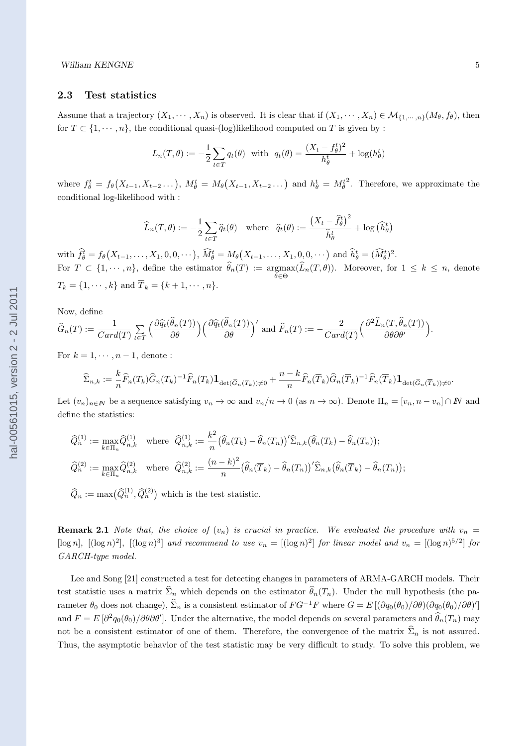# **2.3 Test statistics**

Assume that a trajectory  $(X_1, \dots, X_n)$  is observed. It is clear that if  $(X_1, \dots, X_n) \in \mathcal{M}_{\{1, \dots, n\}}(M_\theta, f_\theta)$ , then for  $T \subset \{1, \dots, n\}$ , the conditional quasi-(log)likelihood computed on *T* is given by :

$$
L_n(T, \theta) := -\frac{1}{2} \sum_{t \in T} q_t(\theta) \quad \text{with} \quad q_t(\theta) = \frac{(X_t - f_{\theta}^t)^2}{h_{\theta}^t} + \log(h_{\theta}^t)
$$

where  $f_{\theta}^t = f_{\theta}(X_{t-1}, X_{t-2} \dots), M_{\theta}^t = M_{\theta}(X_{t-1}, X_{t-2} \dots)$  and  $h_{\theta}^t = M_{\theta}^t$ 2 . Therefore, we approximate the conditional log-likelihood with :

$$
\widehat{L}_n(T,\theta) := -\frac{1}{2} \sum_{t \in T} \widehat{q}_t(\theta) \quad \text{where} \quad \widehat{q}_t(\theta) := \frac{\left(X_t - \widehat{f}_{\theta}^t\right)^2}{\widehat{h}_{\theta}^t} + \log\left(\widehat{h}_{\theta}^t\right)
$$

with  $\widehat{f}_{\theta}^t = f_{\theta}(X_{t-1},...,X_1,0,0,...), \widehat{M}_{\theta}^t = M_{\theta}(X_{t-1},...,X_1,0,0,...)$  and  $\widehat{h}_{\theta}^t = (\widehat{M}_{\theta}^t)^2$ . For  $T \subset \{1, \dots, n\}$ , define the estimator  $\theta_n(T) := \underset{\theta \in C}{\text{argmax}} (L_n(T, \theta))$ . Moreover, for  $1 \leq k \leq n$ , denote *θ∈*Θ  $T_k = \{1, \dots, k\}$  and  $\overline{T}_k = \{k+1, \dots, n\}$ .

Now, define

$$
\widehat{G}_n(T) := \frac{1}{Card(T)} \sum_{t \in T} \left( \frac{\partial \widehat{q}_t(\widehat{\theta}_n(T))}{\partial \theta} \right) \left( \frac{\partial \widehat{q}_t(\widehat{\theta}_n(T))}{\partial \theta} \right)' \text{ and } \widehat{F}_n(T) := -\frac{2}{Card(T)} \left( \frac{\partial^2 \widehat{L}_n(T, \widehat{\theta}_n(T))}{\partial \theta \partial \theta'} \right).
$$

For  $k = 1, \dots, n-1$ , denote :

$$
\widehat{\Sigma}_{n,k} := \frac{k}{n} \widehat{F}_n(T_k) \widehat{G}_n(T_k)^{-1} \widehat{F}_n(T_k) \mathbf{1}_{\det(\widehat{G}_n(T_k)) \neq 0} + \frac{n-k}{n} \widehat{F}_n(\overline{T}_k) \widehat{G}_n(\overline{T}_k)^{-1} \widehat{F}_n(\overline{T}_k) \mathbf{1}_{\det(\widehat{G}_n(\overline{T}_k)) \neq 0}.
$$

Let  $(v_n)_{n\in\mathbb{N}}$  be a sequence satisfying  $v_n \to \infty$  and  $v_n/n \to 0$  (as  $n\to\infty$ ). Denote  $\Pi_n=[v_n, n-v_n]\cap\mathbb{N}$  and define the statistics:

$$
\begin{aligned}\n\widehat{Q}_n^{(1)} &:= \max_{k \in \Pi_n} \widehat{Q}_{n,k}^{(1)} \quad \text{where} \quad \widehat{Q}_{n,k}^{(1)} &:= \frac{k^2}{n} \big(\widehat{\theta}_n(T_k) - \widehat{\theta}_n(T_n)\big) \big(\widehat{\Sigma}_{n,k} \big(\widehat{\theta}_n(T_k) - \widehat{\theta}_n(T_n)\big); \\
\widehat{Q}_n^{(2)} &:= \max_{k \in \Pi_n} \widehat{Q}_{n,k}^{(2)} \quad \text{where} \quad \widehat{Q}_{n,k}^{(2)} &:= \frac{(n-k)^2}{n} \big(\widehat{\theta}_n(\overline{T}_k) - \widehat{\theta}_n(T_n)\big) \big(\widehat{\Sigma}_{n,k} \big(\widehat{\theta}_n(\overline{T}_k) - \widehat{\theta}_n(T_n)\big); \n\end{aligned}
$$

 $\widehat{Q}_n := \max(\widehat{Q}_n^{(1)}, \widehat{Q}_n^{(2)})$  which is the test statistic.

**Remark 2.1** *Note that, the choice of*  $(v_n)$  *is crucial in practice. We evaluated the procedure with*  $v_n =$ [ $\log n$ ],  $[(\log n)^2]$ ,  $[(\log n)^3]$  and recommend to use  $v_n = [(\log n)^2]$  for linear model and  $v_n = [(\log n)^{5/2}]$  for *GARCH-type model.*

Lee and Song [21] constructed a test for detecting changes in parameters of ARMA-GARCH models. Their test statistic uses a matrix  $\hat{\Sigma}_n$  which depends on the estimator  $\hat{\theta}_n(T_n)$ . Under the null hypothesis (the parameter  $\theta_0$  does not change),  $\hat{\Sigma}_n$  is a consistent estimator of  $FG^{-1}F$  where  $G = E[(\partial q_0(\theta_0)/\partial \theta)(\partial q_0(\theta_0)/\partial \theta)']$ and  $F = E[\partial^2 q_0(\theta_0)/\partial\theta\partial\theta']$ . Under the alternative, the model depends on several parameters and  $\hat{\theta}_n(T_n)$  may not be a consistent estimator of one of them. Therefore, the convergence of the matrix  $\hat{\Sigma}_n$  is not assured. Thus, the asymptotic behavior of the test statistic may be very difficult to study. To solve this problem, we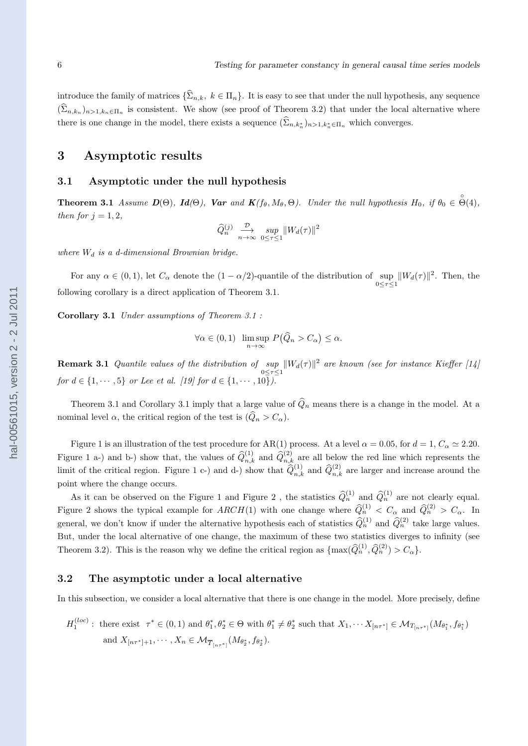introduce the family of matrices  ${\{\widehat{\Sigma}_{n,k}, k \in \Pi_n\}}$ . It is easy to see that under the null hypothesis, any sequence  $(\Sigma_{n,k_n})_{n>1,k_n\in\Pi_n}$  is consistent. We show (see proof of Theorem 3.2) that under the local alternative where there is one change in the model, there exists a sequence  $(\Sigma_{n,k_n^*})_{n>1,k_n^* \in \Pi_n}$  which converges.

# **3 Asymptotic results**

#### **3.1 Asymptotic under the null hypothesis**

**Theorem 3.1** Assume  $D(\Theta)$ ,  $Id(\Theta)$ , Var and  $K(f_{\theta}, M_{\theta}, \Theta)$ . Under the null hypothesis  $H_0$ , if  $\theta_0 \in \overset{\circ}{\Theta}(4)$ , *then for*  $j = 1, 2$ *,* 

$$
\widehat{Q}_n^{(j)} \underset{n \to \infty}{\longrightarrow} \underset{0 \le \tau \le 1}{\sup} \|W_d(\tau)\|^2
$$

*where W<sup>d</sup> is a d-dimensional Brownian bridge.*

For any  $\alpha \in (0,1)$ , let  $C_{\alpha}$  denote the  $(1 - \alpha/2)$ -quantile of the distribution of  $\sup_{0 \leq \tau \leq 1} ||W_d(\tau)||^2$ . Then, the following corollary is a direct application of Theorem 3.1.

**Corollary 3.1** *Under assumptions of Theorem 3.1 :*

$$
\forall \alpha \in (0,1) \ \limsup_{n \to \infty} P(\widehat{Q}_n > C_\alpha) \le \alpha.
$$

**Remark 3.1** *Quantile values of the distribution of*  $\sup_{0 \leq \tau \leq 1} ||W_d(\tau)||^2$  are known (see for instance Kieffer [14] *for*  $d \in \{1, \dots, 5\}$  *or Lee et al.* [19] *for*  $d \in \{1, \dots, 10\}$ .

Theorem 3.1 and Corollary 3.1 imply that a large value of  $\hat{Q}_n$  means there is a change in the model. At a nominal level  $\alpha$ , the critical region of the test is  $(\widehat{Q}_n > C_\alpha)$ .

Figure 1 is an illustration of the test procedure for AR(1) process. At a level  $\alpha = 0.05$ , for  $d = 1, C_{\alpha} \simeq 2.20$ . Figure 1 a-) and b-) show that, the values of  $\hat{Q}_{n,k}^{(1)}$  and  $\hat{Q}_{n,k}^{(2)}$  are all below the red line which represents the limit of the critical region. Figure 1 c-) and d-) show that  $\hat{Q}_{n,k}^{(1)}$  and  $\hat{Q}_{n,k}^{(2)}$  are larger and increase around the point where the change occurs.

As it can be observed on the Figure 1 and Figure 2, the statistics  $\hat{Q}_n^{(1)}$  and  $\hat{Q}_n^{(1)}$  are not clearly equal. Figure 2 shows the typical example for  $ARCH(1)$  with one change where  $\hat{Q}_n^{(1)} < C_\alpha$  and  $\hat{Q}_n^{(2)} > C_\alpha$ . In general, we don't know if under the alternative hypothesis each of statistics  $\hat{Q}_n^{(1)}$  and  $\hat{Q}_n^{(2)}$  take large values. But, under the local alternative of one change, the maximum of these two statistics diverges to infinity (see Theorem 3.2). This is the reason why we define the critical region as  $\{\max(\widehat{Q}_{n}^{(1)}, \widehat{Q}_{n}^{(2)}) > C_{\alpha}\}.$ 

# **3.2 The asymptotic under a local alternative**

In this subsection, we consider a local alternative that there is one change in the model. More precisely, define

$$
H_1^{(loc)}: \text{ there exist } \tau^* \in (0,1) \text{ and } \theta_1^*, \theta_2^* \in \Theta \text{ with } \theta_1^* \neq \theta_2^* \text{ such that } X_1, \dots X_{[n\tau^*]} \in \mathcal{M}_{T_{[n\tau^*]}}(M_{\theta_1^*}, f_{\theta_1^*})
$$
  
and  $X_{[n\tau^*]+1}, \dots, X_n \in \mathcal{M}_{\overline{T}_{[n\tau^*]}}(M_{\theta_2^*}, f_{\theta_2^*}).$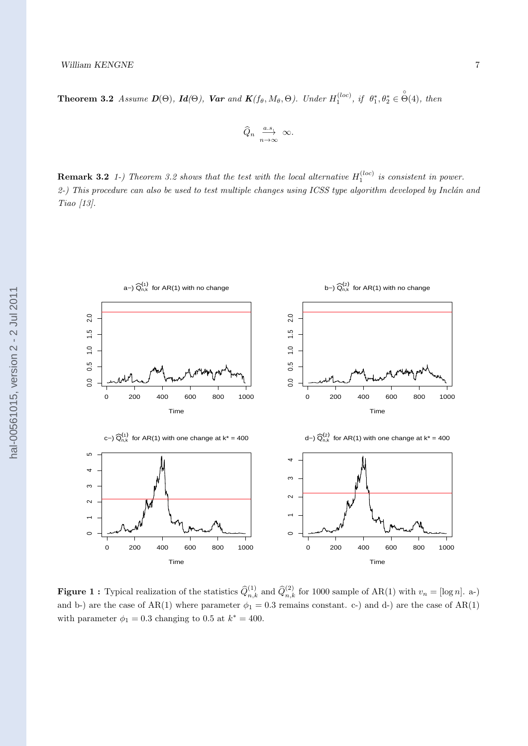**Theorem 3.2** Assume  $D(\Theta)$ ,  $Id(\Theta)$ , Var and  $K(f_{\theta}, M_{\theta}, \Theta)$ . Under  $H_1^{(loc)}$ , if  $\theta_1^*, \theta_2^* \in \overset{\circ}{\Theta}(4)$ , then

$$
\widehat{Q}_n \ \overset{a.s.}{\underset{n\to\infty}{\longrightarrow}} \ \infty.
$$

**Remark 3.2** 1-) Theorem 3.2 shows that the test with the local alternative  $H_1^{(loc)}$  is consistent in power. 2-) This procedure can also be used to test multiple changes using ICSS type algorithm developed by Inclán and *Tiao [13].*



**Figure 1 :** Typical realization of the statistics  $\hat{Q}_{n,k}^{(1)}$  and  $\hat{Q}_{n,k}^{(2)}$  for 1000 sample of AR(1) with  $v_n = [\log n]$ . a-) and b-) are the case of  $AR(1)$  where parameter  $\phi_1 = 0.3$  remains constant. c-) and d-) are the case of  $AR(1)$ with parameter  $\phi_1 = 0.3$  changing to 0.5 at  $k^* = 400$ .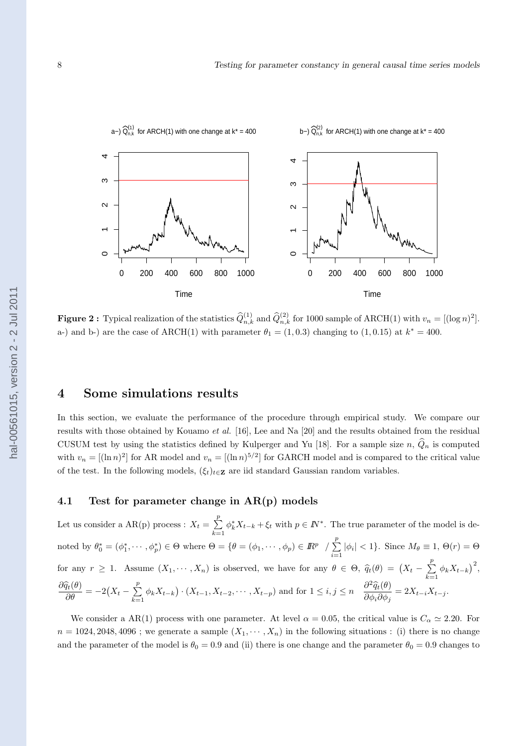

**Figure 2**: Typical realization of the statistics  $\hat{Q}_{n,k}^{(1)}$  and  $\hat{Q}_{n,k}^{(2)}$  for 1000 sample of ARCH(1) with  $v_n = [(\log n)^2]$ . a-) and b-) are the case of ARCH(1) with parameter  $\theta_1 = (1, 0.3)$  changing to  $(1, 0.15)$  at  $k^* = 400$ .

# **4 Some simulations results**

In this section, we evaluate the performance of the procedure through empirical study. We compare our results with those obtained by Kouamo *et al.* [16], Lee and Na [20] and the results obtained from the residual CUSUM test by using the statistics defined by Kulperger and Yu [18]. For a sample size  $n, \hat{Q}_n$  is computed with  $v_n = [(\ln n)^2]$  for AR model and  $v_n = [(\ln n)^{5/2}]$  for GARCH model and is compared to the critical value of the test. In the following models,  $(\xi_t)_{t \in \mathbb{Z}}$  are iid standard Gaussian random variables.

# **4.1 Test for parameter change in AR(p) models**

Let us consider a  $AR(p)$  process :  $X_t = \sum^p$ *k*=1  $\phi_k^* X_{t-k} + \xi_t$  with  $p \in \mathbb{N}^*$ . The true parameter of the model is denoted by  $\theta_0^* = (\phi_1^*, \cdots, \phi_p^*) \in \Theta$  where  $\Theta = \{\theta = (\phi_1, \cdots, \phi_p) \in \mathbb{R}^p \setminus \sum^p$  $\sum_{i=1}^{\infty} |\phi_i| < 1$ . Since  $M_{\theta} \equiv 1, \Theta(r) = \Theta$ for any  $r \geq 1$ . Assume  $(X_1, \dots, X_n)$  is observed, we have for any  $\theta \in \Theta$ ,  $\hat{q}_t(\theta) = (X_t - \sum_{k=1}^p \hat{q}_k)^2$  $\sum_{k=1}^{P} \phi_k X_{t-k}$ <sup>2</sup>,  $\frac{\partial \widehat{q}_t(\theta)}{\partial \theta} = -2(X_t - \sum_{k=1}^p)$  $\sum_{k=1}^p \phi_k X_{t-k} \cdot (X_{t-1}, X_{t-2}, \cdots, X_{t-p})$  and for  $1 \le i, j \le n$   $\frac{\partial^2 \widehat{q}_t(\theta)}{\partial \phi_i \partial \phi_j}$  $\frac{\partial^2 \mathcal{A}_t(\sigma)}{\partial \phi_i \partial \phi_j} = 2X_{t-i}X_{t-j}.$ 

We consider a AR(1) process with one parameter. At level  $\alpha = 0.05$ , the critical value is  $C_{\alpha} \simeq 2.20$ . For  $n = 1024, 2048, 4096$ ; we generate a sample  $(X_1, \dots, X_n)$  in the following situations : (i) there is no change and the parameter of the model is  $\theta_0 = 0.9$  and (ii) there is one change and the parameter  $\theta_0 = 0.9$  changes to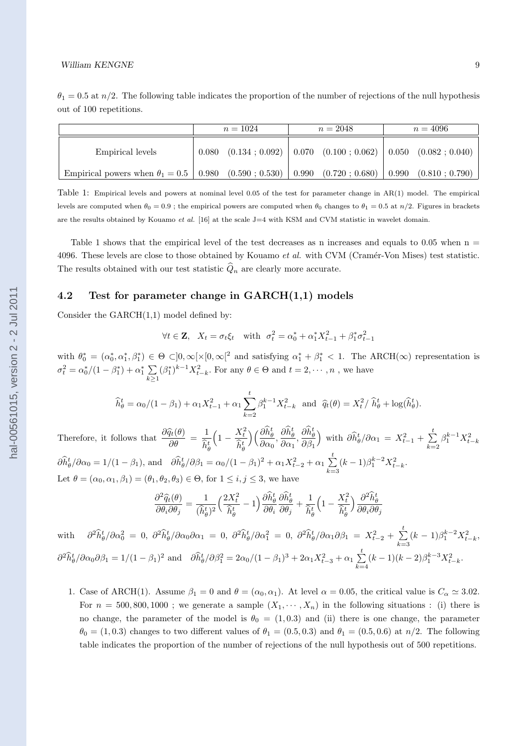|                                                                                                                           | $n = 1024$ |                                                        | $n = 2048$ | $n = 4096$ |                               |  |
|---------------------------------------------------------------------------------------------------------------------------|------------|--------------------------------------------------------|------------|------------|-------------------------------|--|
| Empirical levels                                                                                                          | 0.080      | $(0.134 \div 0.092)$ $\mid 0.070$ $(0.100 \div 0.062)$ |            |            | $\mid$ 0.050 $(0.082; 0.040)$ |  |
| Empirical powers when $\theta_1 = 0.5 \begin{array}{ l} 0.980 \\ 0.590 \\ 0.530 \end{array}$ (0.530) 0.990 (0.720; 0.680) |            |                                                        |            | 0.990      | $(0.810 \div 0.790)$          |  |

Table 1: Empirical levels and powers at nominal level 0.05 of the test for parameter change in AR(1) model. The empirical levels are computed when  $\theta_0 = 0.9$ ; the empirical powers are computed when  $\theta_0$  changes to  $\theta_1 = 0.5$  at  $n/2$ . Figures in brackets are the results obtained by Kouamo *et al.* [16] at the scale J=4 with KSM and CVM statistic in wavelet domain.

Table 1 shows that the empirical level of the test decreases as n increases and equals to 0.05 when  $n =$ 4096. These levels are close to those obtained by Kouamo *et al.* with CVM (Cramér-Von Mises) test statistic. The results obtained with our test statistic  $\hat{Q}_n$  are clearly more accurate.

#### **4.2 Test for parameter change in GARCH(1,1) models**

Consider the  $GARCH(1,1)$  model defined by:

$$
\forall t \in \mathbf{Z}, \ X_t = \sigma_t \xi_t \text{ with } \sigma_t^2 = \alpha_0^* + \alpha_1^* X_{t-1}^2 + \beta_1^* \sigma_{t-1}^2
$$

with  $\theta_0^* = (\alpha_0^*, \alpha_1^*, \beta_1^*) \in \Theta \subset ]0, \infty[ \times [0, \infty[^2 \text{ and satisfying } \alpha_1^* + \beta_1^* \lt 1]$ . The ARCH( $\infty$ ) representation is  $\sigma_t^2 = \alpha_0^*/(1-\beta_1^*) + \alpha_1^* \sum$ *k≥*1  $(\beta_1^*)^{k-1} X_{t-k}^2$ . For any  $\theta \in \Theta$  and  $t = 2, \dots, n$ , we have

$$
\widehat{h}_{\theta}^{t} = \alpha_{0}/(1 - \beta_{1}) + \alpha_{1}X_{t-1}^{2} + \alpha_{1}\sum_{k=2}^{t} \beta_{1}^{k-1}X_{t-k}^{2} \text{ and } \widehat{q}_{t}(\theta) = X_{t}^{2}/\widehat{h}_{\theta}^{t} + \log(\widehat{h}_{\theta}^{t}).
$$

Therefore, it follows that  $\frac{\partial \widehat{q}_t(\theta)}{\partial \theta} = \frac{1}{\widehat{h}_t^b}$  $\widehat{h}^t_{\theta}$  $\left(1-\frac{X_t^2}{2\sigma}\right)$  $\widehat{h}^t_{\theta}$  $\setminus$ ( $\frac{\partial \hat{h}^t_\theta}{\partial t}$  $\frac{\partial \widehat{h}^t_{\theta}}{\partial \alpha_0}, \frac{\partial \widehat{h}^t_{\theta}}{\partial \alpha_1}$  $\frac{\partial \widehat{h}^t_{\theta}}{\partial \alpha_1}, \frac{\partial \widehat{h}^t_{\theta}}{\partial \beta_1}$ *∂β*<sup>1</sup>  $\int$  with  $\partial \hat{h}^t_{\theta} / \partial \alpha_1 = X_{t-1}^2 + \sum_{i=1}^t \hat{h}^t$ *k*=2  $\beta_1^{k-1} X_{t-k}^2$  $\partial \hat{h}^t_{\theta} / \partial \alpha_0 = 1/(1 - \beta_1)$ , and  $\partial \hat{h}^t_{\theta} / \partial \beta_1 = \alpha_0/(1 - \beta_1)^2 + \alpha_1 X_{t-2}^2 + \alpha_1 \sum_{i=1}^t \sum_{j=1}^t$ *k*=3  $(k-1)\beta_1^{k-2}X_{t-k}^2$ . Let  $\theta = (\alpha_0, \alpha_1, \beta_1) = (\theta_1, \theta_2, \theta_3) \in \Theta$ , for  $1 \leq i, j \leq 3$ , we have

$$
\frac{\partial^2 \widehat{q}_t(\theta)}{\partial \theta_i \partial \theta_j} = \frac{1}{(\widehat{h}_{\theta}^t)^2} \Big( \frac{2X_t^2}{\widehat{h}_{\theta}^t} - 1 \Big) \frac{\partial \widehat{h}_{\theta}^t}{\partial \theta_i} \frac{\partial \widehat{h}_{\theta}^t}{\partial \theta_j} + \frac{1}{\widehat{h}_{\theta}^t} \Big( 1 - \frac{X_t^2}{\widehat{h}_{\theta}^t} \Big) \frac{\partial^2 \widehat{h}_{\theta}^t}{\partial \theta_i \partial \theta_j}
$$

with *∂*  ${}^2{\widehat h}^t_{\theta}/\partial \alpha_0^2 \ = \ 0, \ \ \partial^2{\widehat h}^t_{\theta}/\partial \alpha_0 \partial \alpha_1 \ = \ 0, \ \ \partial^2{\widehat h}^t_{\theta}/\partial \alpha_1^2 \ = \ 0, \ \ \partial^2{\widehat h}^t_{\theta}/\partial \alpha_1 \partial \beta_1 \ = \ X_{t-2}^2 \ + \ \sum_{i=1}^t \frac{1}{2} \ \partial^2{\widehat h}^t_{\theta}/\partial \alpha_i \partial \beta_1 \ = \ X_{t-1}^2 \ + \ \sum_{i=1}^t \frac{1}{2} \ \partial^2{\widehat h}$ *k*=3  $(k-1)\beta_1^{k-2}X_{t-k}^2$  $\frac{\partial^2 \widehat{h}_{\theta}^t}{\partial \alpha_0 \partial \beta_1} = 1/(1 - \beta_1)^2$  and  $\frac{\partial \widehat{h}_{\theta}^t}{\partial \beta_1^2} = 2\alpha_0/(1 - \beta_1)^3 + 2\alpha_1 X_{t-3}^2 + \alpha_1 \sum_{k=1}^t \frac{\widehat{h}_{\theta}^k}{\sum_{k=1}^t \widehat{h}_{\theta}^k}$ *k*=4  $(k-1)(k-2)\beta_1^{k-3}X_{t-k}^2$ .

1. Case of ARCH(1). Assume  $\beta_1 = 0$  and  $\theta = (\alpha_0, \alpha_1)$ . At level  $\alpha = 0.05$ , the critical value is  $C_\alpha \simeq 3.02$ . For  $n = 500, 800, 1000$ ; we generate a sample  $(X_1, \dots, X_n)$  in the following situations : (i) there is no change, the parameter of the model is  $\theta_0 = (1, 0.3)$  and (ii) there is one change, the parameter  $\theta_0 = (1, 0.3)$  changes to two different values of  $\theta_1 = (0.5, 0.3)$  and  $\theta_1 = (0.5, 0.6)$  at  $n/2$ . The following table indicates the proportion of the number of rejections of the null hypothesis out of 500 repetitions.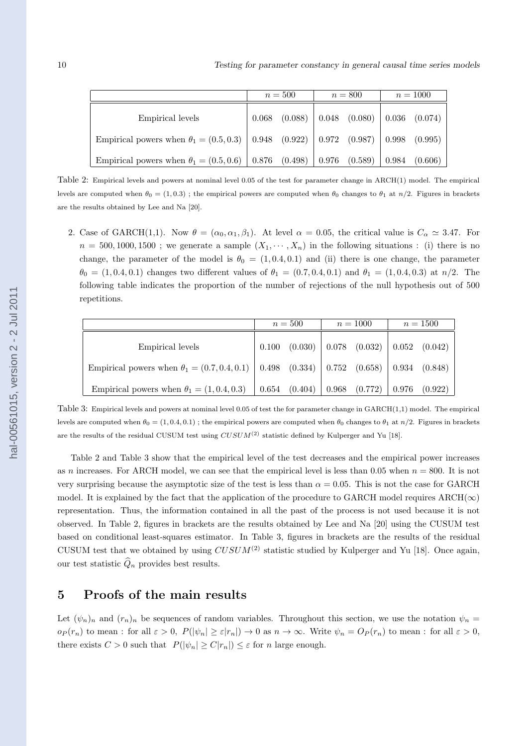|                                                                                               | $n=500$ |                   | $n = 800$ |                                                                                                | $n = 1000$ |         |
|-----------------------------------------------------------------------------------------------|---------|-------------------|-----------|------------------------------------------------------------------------------------------------|------------|---------|
| Empirical levels                                                                              |         | $0.068$ $(0.088)$ |           | $\begin{array}{ c c c c c c c c } \hline 0.048 & (0.080) & 0.036 & (0.074) \hline \end{array}$ |            |         |
| Empirical powers when $\theta_1 = (0.5, 0.3)   0.948 (0.922)   0.972 (0.987)   0.998 (0.995)$ |         |                   |           |                                                                                                |            |         |
| Empirical powers when $\theta_1 = (0.5, 0.6)$   0.876 (0.498)   0.976 (0.589)                 |         |                   |           |                                                                                                | 0.984      | (0.606) |

Table 2: Empirical levels and powers at nominal level 0.05 of the test for parameter change in ARCH(1) model. The empirical levels are computed when  $\theta_0 = (1, 0.3)$ ; the empirical powers are computed when  $\theta_0$  changes to  $\theta_1$  at  $n/2$ . Figures in brackets are the results obtained by Lee and Na [20].

2. Case of GARCH(1,1). Now  $\theta = (\alpha_0, \alpha_1, \beta_1)$ . At level  $\alpha = 0.05$ , the critical value is  $C_{\alpha} \simeq 3.47$ . For  $n = 500, 1000, 1500$ ; we generate a sample  $(X_1, \dots, X_n)$  in the following situations : (i) there is no change, the parameter of the model is  $\theta_0 = (1, 0.4, 0.1)$  and (ii) there is one change, the parameter  $\theta_0 = (1, 0.4, 0.1)$  changes two different values of  $\theta_1 = (0.7, 0.4, 0.1)$  and  $\theta_1 = (1, 0.4, 0.3)$  at  $n/2$ . The following table indicates the proportion of the number of rejections of the null hypothesis out of 500 repetitions.

|                                                                                                    | $n=500$ |         | $n = 1000$ |                                                                                         | $n = 1500$ |  |
|----------------------------------------------------------------------------------------------------|---------|---------|------------|-----------------------------------------------------------------------------------------|------------|--|
| Empirical levels                                                                                   | 0.100   | (0.030) |            | $\begin{array}{ c c c c c c c c } \hline 0.078 & (0.032) & 0.052 & (0.042) \end{array}$ |            |  |
| Empirical powers when $\theta_1 = (0.7, 0.4, 0.1)$   0.498 (0.334)   0.752 (0.658)   0.934 (0.848) |         |         |            |                                                                                         |            |  |
| Empirical powers when $\theta_1 = (1, 0.4, 0.3)$                                                   |         |         |            |                                                                                         |            |  |

Table 3: Empirical levels and powers at nominal level 0.05 of test the for parameter change in GARCH(1,1) model. The empirical levels are computed when  $\theta_0 = (1, 0.4, 0.1)$ ; the empirical powers are computed when  $\theta_0$  changes to  $\theta_1$  at  $n/2$ . Figures in brackets are the results of the residual CUSUM test using *CUSUM*(2) statistic defined by Kulperger and Yu [18].

Table 2 and Table 3 show that the empirical level of the test decreases and the empirical power increases as *n* increases. For ARCH model, we can see that the empirical level is less than 0.05 when  $n = 800$ . It is not very surprising because the asymptotic size of the test is less than  $\alpha = 0.05$ . This is not the case for GARCH model. It is explained by the fact that the application of the procedure to GARCH model requires  $\text{ARCH}(\infty)$ representation. Thus, the information contained in all the past of the process is not used because it is not observed. In Table 2, figures in brackets are the results obtained by Lee and Na [20] using the CUSUM test based on conditional least-squares estimator. In Table 3, figures in brackets are the results of the residual CUSUM test that we obtained by using  $CUSUM^{(2)}$  statistic studied by Kulperger and Yu [18]. Once again, our test statistic  $\widehat{Q}_n$  provides best results.

# **5 Proofs of the main results**

Let  $(\psi_n)_n$  and  $(r_n)_n$  be sequences of random variables. Throughout this section, we use the notation  $\psi_n =$  $o_P(r_n)$  to mean: for all  $\varepsilon > 0$ ,  $P(|\psi_n| \geq \varepsilon |r_n|) \to 0$  as  $n \to \infty$ . Write  $\psi_n = O_P(r_n)$  to mean: for all  $\varepsilon > 0$ , there exists  $C > 0$  such that  $P(|\psi_n| \ge C|r_n|) \le \varepsilon$  for *n* large enough.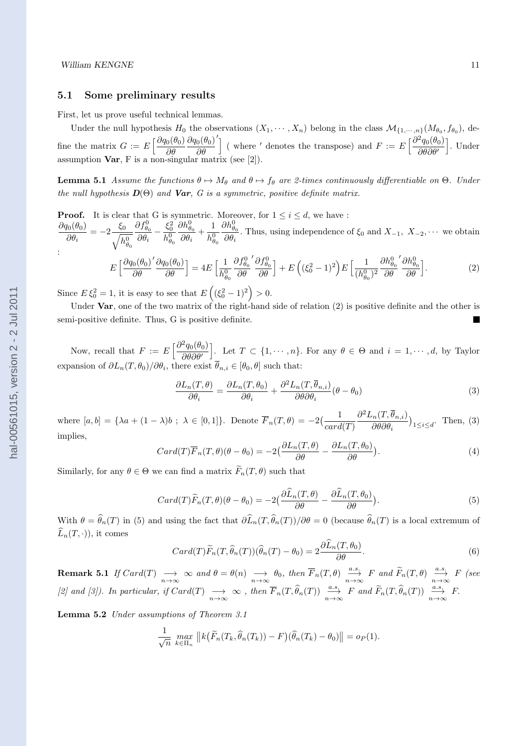#### **5.1 Some preliminary results**

First, let us prove useful technical lemmas.

Under the null hypothesis  $H_0$  the observations  $(X_1, \dots, X_n)$  belong in the class  $\mathcal{M}_{\{1,\dots,n\}}(M_{\theta_0}, f_{\theta_0}),$  define the matrix  $G := E \left[ \frac{\partial q_0(\theta_0)}{\partial \theta_0} \right]$ *∂θ ∂q*0(*θ*0) *∂θ*  $\int$  (where *'* denotes the transpose) and  $F := E \left[ \frac{\partial^2 q_0(\theta_0)}{\partial \theta_0} \right]$ *∂θ∂θ′* ] *.* Under assumption **Var**, F is a non-singular matrix (see [2]).

**Lemma 5.1** *Assume the functions*  $\theta \mapsto M_{\theta}$  *and*  $\theta \mapsto f_{\theta}$  *are 2-times continuously differentiable on*  $\Theta$ *. Under the null hypothesis*  $\bm{D}(\Theta)$  *and Var, G is a symmetric, positive definite matrix.* 

**Proof.** It is clear that G is symmetric. Moreover, for  $1 \leq i \leq d$ , we have : *∂q*0(*θ*0)  $\frac{\partial \theta}{\partial \theta_i}^{(0)} = -2 \frac{\xi_0}{\sqrt{h}}$  $h^0_{\theta_0}$  $\partial f_{\theta_0}^0$  $\frac{\partial f^0_{\theta_0}}{\partial \theta_i} - \frac{\xi^2_0}{h^0_{\theta_i}}$  $h^0_{\theta_0}$  $\partial h^0_{\theta_0}$  $\frac{\partial h^0_{\theta_0}}{\partial \theta_i} + \frac{1}{h^0_\theta}$  $h^0_{\theta_0}$  $\partial h^0_{\theta_0}$  $\frac{\partial \theta}{\partial \theta_i}$ . Thus, using independence of  $\xi_0$  and  $X_{-1}$ ,  $X_{-2}$ ,  $\cdots$  we obtain : *′*  $\partial f_{\theta}^0$ *′*  $\partial f_{\theta}^0$  $\partial h^0_\theta$ *′*  $\partial h^0_\theta$ 

$$
E\left[\frac{\partial q_0(\theta_0)'}{\partial \theta}\frac{\partial q_0(\theta_0)}{\partial \theta}\right] = 4E\left[\frac{1}{h_{\theta_0}^0}\frac{\partial f_{\theta_0}^0}{\partial \theta}\frac{\partial f_{\theta_0}^0}{\partial \theta}\right] + E\left((\xi_0^2 - 1)^2\right)E\left[\frac{1}{(h_{\theta_0}^0)^2}\frac{\partial h_{\theta_0}^0}{\partial \theta}\frac{\partial h_{\theta_0}^0}{\partial \theta}\right].
$$
 (2)

Since  $E \xi_0^2 = 1$ , it is easy to see that  $E \left( (\xi_0^2 - 1)^2 \right) > 0$ .

Under **Var**, one of the two matrix of the right-hand side of relation (2) is positive definite and the other is semi-positive definite. Thus, G is positive definite.

Now, recall that  $F := E \left[ \frac{\partial^2 q_0(\theta_0)}{\partial \theta_0(\theta_0)} \right]$ *∂θ∂θ′* ]. Let *T* ⊂ {1,  $\cdots$  *n*}*.* For any  $θ ∈ Θ$  and  $i = 1, \cdots, d$ , by Taylor expansion of  $\partial L_n(T, \theta_0) / \partial \theta_i$ , there exist  $\theta_{n,i} \in [\theta_0, \theta]$  such that:

$$
\frac{\partial L_n(T,\theta)}{\partial \theta_i} = \frac{\partial L_n(T,\theta_0)}{\partial \theta_i} + \frac{\partial^2 L_n(T,\overline{\theta}_{n,i})}{\partial \theta \partial \theta_i} (\theta - \theta_0)
$$
\n(3)

where  $[a, b] = {\lambda a + (1 - \lambda)b ; \lambda \in [0, 1]}$ . Denote  $\overline{F}_n(T, \theta) = -2\left(\frac{1}{n+1}\right)$ *card*(*T*)  $\partial^2 L_n(T, \overline{\theta}_{n,i})$ *∂θ∂θ<sup>i</sup>*  $\big)_{1 \leq i \leq d}$ . Then, (3) implies,

$$
Card(T)\overline{F}_n(T,\theta)(\theta-\theta_0)=-2\left(\frac{\partial L_n(T,\theta)}{\partial \theta}-\frac{\partial L_n(T,\theta_0)}{\partial \theta}\right).
$$
\n(4)

Similarly, for any  $\theta \in \Theta$  we can find a matrix  $\widetilde{F}_n(T, \theta)$  such that

$$
Card(T)\widetilde{F}_n(T,\theta)(\theta-\theta_0)=-2\Big(\frac{\partial \widehat{L}_n(T,\theta)}{\partial \theta}-\frac{\partial \widehat{L}_n(T,\theta_0)}{\partial \theta}\Big). \tag{5}
$$

With  $\theta = \hat{\theta}_n(T)$  in (5) and using the fact that  $\partial \hat{L}_n(T, \hat{\theta}_n(T))/\partial \theta = 0$  (because  $\hat{\theta}_n(T)$  is a local extremum of  $\widehat{L}_n(T,\cdot)$ , it comes

$$
Card(T)\widetilde{F}_n(T,\widehat{\theta}_n(T))(\widehat{\theta}_n(T)-\theta_0)=2\frac{\partial \widehat{L}_n(T,\theta_0)}{\partial \theta}.
$$
\n(6)

**Remark 5.1** If  $Card(T) \longrightarrow_{n \to \infty} \infty$  and  $\theta = \theta(n) \longrightarrow_{n \to \infty} \theta_0$ , then  $\overline{F}_n(T, \theta) \xrightarrow[n \to \infty]{a.s.} F$  and  $\widetilde{F}_n(T, \theta) \xrightarrow[n \to \infty]{a.s.} F$  (see [2] and [3]). In particular, if  $Card(T) \longrightarrow_{n \to \infty} \infty$ , then  $\overline{F}_n(T, \widehat{\theta}_n(T)) \xrightarrow[n \to \infty]{a.s.} F$  and  $\widetilde{F}_n(T, \widehat{\theta}_n(T)) \xrightarrow[n \to \infty]{a.s.} F$ .

**Lemma 5.2** *Under assumptions of Theorem 3.1*

$$
\frac{1}{\sqrt{n}} \max_{k \in \Pi_n} ||k(\widetilde{F}_n(T_k, \widehat{\theta}_n(T_k)) - F)(\widehat{\theta}_n(T_k) - \theta_0)|| = o_P(1).
$$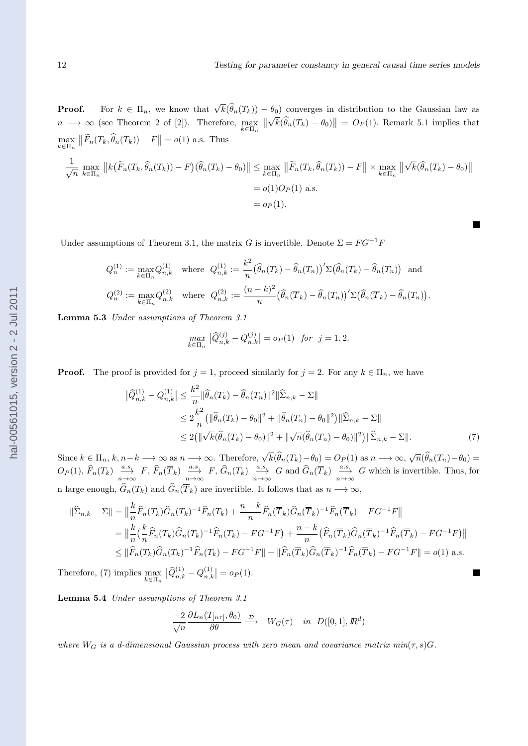**Proof.** For  $k \in \Pi_n$ , we know that  $\sqrt{k}(\widehat{\theta}_n(T_k)) - \theta_0$  converges in distribution to the Gaussian law as  $n \longrightarrow \infty$  (see Theorem 2 of [2]). Therefore,  $\max_{k \in \Pi_n}$  $\big\|$ *√*  $\left| \overline{k}(\widehat{\theta}_n(T_k) - \theta_0) \right| = O_P(1)$ . Remark 5.1 implies that max *k∈*Π*<sup>n</sup>*  $\left\| \widetilde{F}_n(T_k, \widehat{\theta}_n(T_k)) - F \right\| = o(1)$  a.s. Thus

$$
\frac{1}{\sqrt{n}} \max_{k \in \Pi_n} \|k(\widetilde{F}_n(T_k, \widehat{\theta}_n(T_k)) - F)(\widehat{\theta}_n(T_k) - \theta_0)\| \le \max_{k \in \Pi_n} \|\widetilde{F}_n(T_k, \widehat{\theta}_n(T_k)) - F\| \times \max_{k \in \Pi_n} \|\sqrt{k}(\widehat{\theta}_n(T_k) - \theta_0)\|
$$
  
=  $o(1)O_P(1)$  a.s.  
=  $o_P(1)$ .

Under assumptions of Theorem 3.1, the matrix *G* is invertible. Denote  $\Sigma = FG^{-1}F$ 

$$
Q_n^{(1)} := \max_{k \in \Pi_n} Q_{n,k}^{(1)} \quad \text{where} \quad Q_{n,k}^{(1)} := \frac{k^2}{n} \big(\widehat{\theta}_n(T_k) - \widehat{\theta}_n(T_n)\big) \Sigma\big(\widehat{\theta}_n(T_k) - \widehat{\theta}_n(T_n)\big) \quad \text{and}
$$

$$
Q_n^{(2)} := \max_{k \in \Pi_n} Q_{n,k}^{(2)} \quad \text{where} \quad Q_{n,k}^{(2)} := \frac{(n-k)^2}{n} \big(\widehat{\theta}_n(\overline{T}_k) - \widehat{\theta}_n(T_n)\big) \Sigma\big(\widehat{\theta}_n(\overline{T}_k) - \widehat{\theta}_n(T_n)\big).
$$

**Lemma 5.3** *Under assumptions of Theorem 3.1*

$$
\max_{k \in \Pi_n} \left| \widehat{Q}_{n,k}^{(j)} - Q_{n,k}^{(j)} \right| = o_P(1) \quad \text{for} \quad j = 1, 2.
$$

**Proof.** The proof is provided for  $j = 1$ , proceed similarly for  $j = 2$ . For any  $k \in \Pi_n$ , we have

$$
\left| \hat{Q}_{n,k}^{(1)} - Q_{n,k}^{(1)} \right| \leq \frac{k^2}{n} \left\| \hat{\theta}_n(T_k) - \hat{\theta}_n(T_n) \right\|^2 \left\| \hat{\Sigma}_{n,k} - \Sigma \right\|
$$
  

$$
\leq 2 \frac{k^2}{n} \left( \| \hat{\theta}_n(T_k) - \theta_0 \|^2 + \| \hat{\theta}_n(T_n) - \theta_0 \|^2 \right) \left\| \hat{\Sigma}_{n,k} - \Sigma \right\|
$$
  

$$
\leq 2 \left( \| \sqrt{k} (\hat{\theta}_n(T_k) - \theta_0) \|^2 + \| \sqrt{n} (\hat{\theta}_n(T_n) - \theta_0) \|^2 \right) \left\| \hat{\Sigma}_{n,k} - \Sigma \right\|. \tag{7}
$$

П

Since  $k \in \Pi_n$ ,  $k, n-k \longrightarrow \infty$  as  $n \longrightarrow \infty$ . Therefore,  $\sqrt{k}(\widehat{\theta}_n(T_k)-\theta_0) = O_P(1)$  as  $n \longrightarrow \infty$ ,  $\sqrt{n}(\widehat{\theta}_n(T_n)-\theta_0) =$  $O_P(1), \hat{F}_n(T_k) \xrightarrow[n \to \infty]{a.s.} F, \hat{F}_n(\overline{T}_k) \xrightarrow[n \to \infty]{a.s.} F, \hat{G}_n(T_k) \xrightarrow[n \to \infty]{a.s.} G \text{ and } \hat{G}_n(\overline{T}_k) \xrightarrow[n \to \infty]{a.s.} G \text{ which is invertible. Thus, for }$ n large enough,  $\widehat{G}_n(T_k)$  and  $\widehat{G}_n(\overline{T}_k)$  are invertible. It follows that as  $n \longrightarrow \infty$ ,

$$
\|\widehat{\Sigma}_{n,k} - \Sigma\| = \left\|\frac{k}{n}\widehat{F}_n(T_k)\widehat{G}_n(T_k)^{-1}\widehat{F}_n(T_k) + \frac{n-k}{n}\widehat{F}_n(\overline{T}_k)\widehat{G}_n(\overline{T}_k)^{-1}\widehat{F}_n(\overline{T}_k) - FG^{-1}F\right\|
$$
  
\n
$$
= \left\|\frac{k}{n}\left(\frac{k}{n}\widehat{F}_n(T_k)\widehat{G}_n(T_k)^{-1}\widehat{F}_n(T_k) - FG^{-1}F\right) + \frac{n-k}{n}\left(\widehat{F}_n(\overline{T}_k)\widehat{G}_n(\overline{T}_k)^{-1}\widehat{F}_n(\overline{T}_k) - FG^{-1}F\right)\right\|
$$
  
\n
$$
\leq \|\widehat{F}_n(T_k)\widehat{G}_n(T_k)^{-1}\widehat{F}_n(T_k) - FG^{-1}F\| + \|\widehat{F}_n(\overline{T}_k)\widehat{G}_n(\overline{T}_k)^{-1}\widehat{F}_n(\overline{T}_k) - FG^{-1}F\| = o(1) \text{ a.s.}
$$

Therefore, (7) implies max *k∈*Π*<sup>n</sup>*  $\big|\widehat{Q}_{n,k}^{(1)}-Q_{n,k}^{(1)}\big|$  $\binom{1}{n,k} = o_P(1).$ 

**Lemma 5.4** *Under assumptions of Theorem 3.1*

$$
\frac{-2}{\sqrt{n}} \frac{\partial L_n(T_{[n\tau]}, \theta_0)}{\partial \theta} \xrightarrow{\mathcal{D}} W_G(\tau) \quad in \ D([0, 1], \mathbb{R}^d)
$$

*where*  $W_G$  *is a d-dimensional Gaussian process with zero mean and covariance matrix min* $(\tau, s)$ *G.*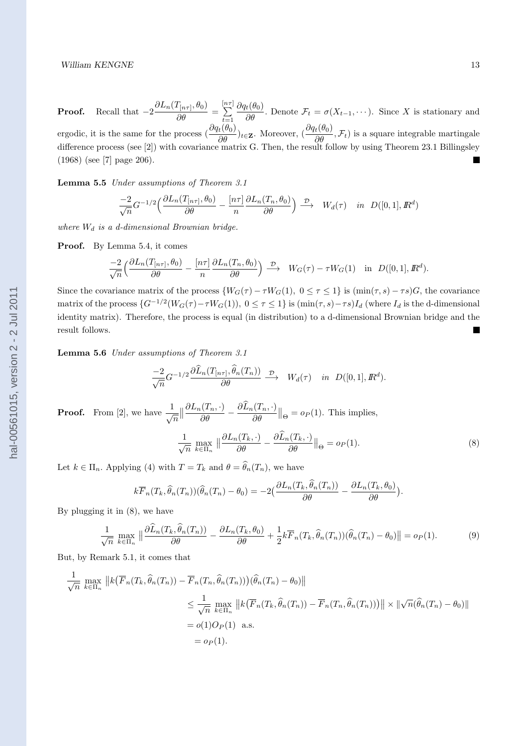**Proof.** Recall that  $-2\frac{\partial L_n(T_{[n\tau]}, \theta_0)}{\partial \theta} = \sum_{t=1}^{[n\tau]}$  $\frac{\partial q_t(\theta_0)}{\partial \theta}$ . Denote  $\mathcal{F}_t = \sigma(X_{t-1}, \dots)$ . Since *X* is stationary and *t*=1 ergodic, it is the same for the process  $\left(\frac{\partial q_t(\theta_0)}{\partial \theta}\right)_{t \in \mathbf{Z}}$ . Moreover,  $\left(\frac{\partial q_t(\theta_0)}{\partial \theta}, \mathcal{F}_t\right)$  is a square integrable martingale difference process (see [2]) with covariance matrix G. Then, the result follow by using Theorem 23.1 Billingsley (1968) (see [7] page 206).  $\blacksquare$ 

**Lemma 5.5** *Under assumptions of Theorem 3.1*

$$
\frac{-2}{\sqrt{n}}G^{-1/2}\left(\frac{\partial L_n(T_{[n\tau]}, \theta_0)}{\partial \theta} - \frac{[n\tau]}{n} \frac{\partial L_n(T_n, \theta_0)}{\partial \theta}\right) \xrightarrow{\mathcal{D}} W_d(\tau) \quad in \ D([0, 1], \mathbb{R}^d)
$$

*where W<sup>d</sup> is a d-dimensional Brownian bridge.*

**Proof.** By Lemma 5.4, it comes

$$
\frac{-2}{\sqrt{n}}\Big(\frac{\partial L_n(T_{[n\tau]},\theta_0)}{\partial \theta}-\frac{[n\tau]}{n}\frac{\partial L_n(T_n,\theta_0)}{\partial \theta}\Big)\stackrel{\mathcal{D}}{\longrightarrow} \ W_G(\tau)-\tau W_G(1)\quad \text{in}\ \ D([0,1],{I\!\!R}^d).
$$

Since the covariance matrix of the process  $\{W_G(\tau) - \tau W_G(1), 0 \leq \tau \leq 1\}$  is  $(\min(\tau, s) - \tau s)G$ , the covariance matrix of the process  $\{G^{-1/2}(W_G(\tau)-\tau W_G(1)), 0 \leq \tau \leq 1\}$  is  $(\min(\tau,s)-\tau s)I_d$  (where  $I_d$  is the d-dimensional identity matrix). Therefore, the process is equal (in distribution) to a d-dimensional Brownian bridge and the result follows.

**Lemma 5.6** *Under assumptions of Theorem 3.1*

$$
\frac{-2}{\sqrt{n}}G^{-1/2}\frac{\partial \widehat{L}_n(T_{[n\tau]},\widehat{\theta}_n(T_n))}{\partial \theta} \xrightarrow{\mathcal{D}} W_d(\tau) \quad in \ D([0,1], I\!\!R^d).
$$

**Proof.** From [2], we have  $\frac{1}{\sqrt{n}}$  $\big\|$  $\frac{\partial L_n(T_n,\cdot)}{\partial \theta} - \frac{\partial L_n(T_n,\cdot)}{\partial \theta}$ *∂θ*  $\parallel_{\Theta} = o_P(1)$ . This implies,

$$
\frac{1}{\sqrt{n}} \max_{k \in \Pi_n} \left\| \frac{\partial L_n(T_k, \cdot)}{\partial \theta} - \frac{\partial \widehat{L}_n(T_k, \cdot)}{\partial \theta} \right\|_{\Theta} = o_P(1). \tag{8}
$$

Let  $k \in \Pi_n$ . Applying (4) with  $T = T_k$  and  $\theta = \hat{\theta}_n(T_n)$ , we have

$$
k\overline{F}_n(T_k, \widehat{\theta}_n(T_n))(\widehat{\theta}_n(T_n) - \theta_0) = -2\left(\frac{\partial L_n(T_k, \widehat{\theta}_n(T_n))}{\partial \theta} - \frac{\partial L_n(T_k, \theta_0)}{\partial \theta}\right).
$$

By plugging it in (8), we have

$$
\frac{1}{\sqrt{n}} \max_{k \in \Pi_n} \left\| \frac{\partial \widehat{L}_n(T_k, \widehat{\theta}_n(T_n))}{\partial \theta} - \frac{\partial L_n(T_k, \theta_0)}{\partial \theta} + \frac{1}{2} k \overline{F}_n(T_k, \widehat{\theta}_n(T_n)) (\widehat{\theta}_n(T_n) - \theta_0) \right\| = o_P(1).
$$
 (9)

But, by Remark 5.1, it comes that

$$
\frac{1}{\sqrt{n}} \max_{k \in \Pi_n} \|k(\overline{F}_n(T_k, \widehat{\theta}_n(T_n)) - \overline{F}_n(T_n, \widehat{\theta}_n(T_n)))(\widehat{\theta}_n(T_n) - \theta_0)\|
$$
\n
$$
\leq \frac{1}{\sqrt{n}} \max_{k \in \Pi_n} \|k(\overline{F}_n(T_k, \widehat{\theta}_n(T_n)) - \overline{F}_n(T_n, \widehat{\theta}_n(T_n)))\| \times \|\sqrt{n}(\widehat{\theta}_n(T_n) - \theta_0)\|
$$
\n
$$
= o(1)O_P(1) \text{ a.s.}
$$
\n
$$
= o_P(1).
$$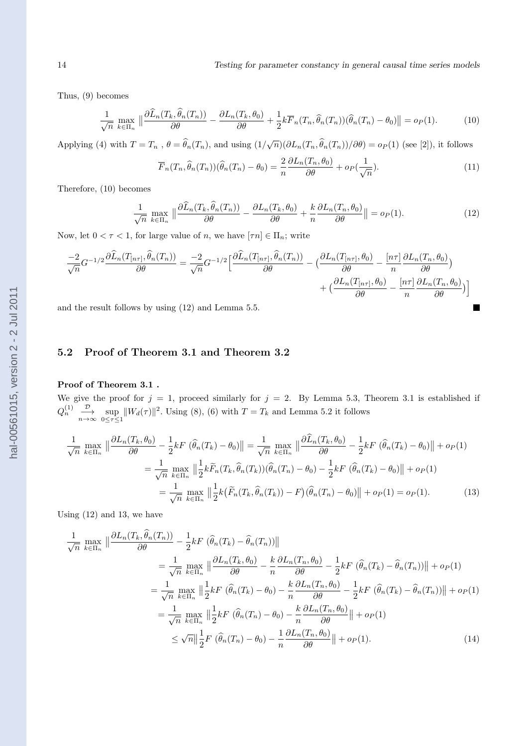$\blacksquare$ 

Thus, (9) becomes

$$
\frac{1}{\sqrt{n}} \max_{k \in \Pi_n} \left\| \frac{\partial \widehat{L}_n(T_k, \widehat{\theta}_n(T_n))}{\partial \theta} - \frac{\partial L_n(T_k, \theta_0)}{\partial \theta} + \frac{1}{2} k \overline{F}_n(T_n, \widehat{\theta}_n(T_n)) (\widehat{\theta}_n(T_n) - \theta_0) \right\| = o_P(1).
$$
 (10)

Applying (4) with  $T = T_n$ ,  $\theta = \hat{\theta}_n(T_n)$ , and using  $(1/\sqrt{n})(\partial L_n(T_n, \hat{\theta}_n(T_n))/\partial \theta) = o_P(1)$  (see [2]), it follows

$$
\overline{F}_n(T_n, \widehat{\theta}_n(T_n))(\widehat{\theta}_n(T_n) - \theta_0) = \frac{2}{n} \frac{\partial L_n(T_n, \theta_0)}{\partial \theta} + o_P(\frac{1}{\sqrt{n}}). \tag{11}
$$

Therefore, (10) becomes

$$
\frac{1}{\sqrt{n}} \max_{k \in \Pi_n} \left\| \frac{\partial \widehat{L}_n(T_k, \widehat{\theta}_n(T_n))}{\partial \theta} - \frac{\partial L_n(T_k, \theta_0)}{\partial \theta} + \frac{k}{n} \frac{\partial L_n(T_n, \theta_0)}{\partial \theta} \right\| = o_P(1).
$$
\n(12)

Now, let  $0 < \tau < 1$ , for large value of *n*, we have  $[\tau n] \in \Pi_n$ ; write

$$
\frac{-2}{\sqrt{n}}G^{-1/2}\frac{\partial\widehat{L}_n(T_{[n\tau]},\widehat{\theta}_n(T_n))}{\partial\theta} = \frac{-2}{\sqrt{n}}G^{-1/2}\Big[\frac{\partial\widehat{L}_n(T_{[n\tau]},\widehat{\theta}_n(T_n))}{\partial\theta} - \Big(\frac{\partial L_n(T_{[n\tau]},\theta_0)}{\partial\theta} - \frac{[n\tau]}{n}\frac{\partial L_n(T_n,\theta_0)}{\partial\theta}\Big) + \Big(\frac{\partial L_n(T_{[n\tau]},\theta_0)}{\partial\theta} - \frac{[n\tau]}{n}\frac{\partial L_n(T_n,\theta_0)}{\partial\theta}\Big)\Big]
$$

and the result follows by using (12) and Lemma 5.5.

# **5.2 Proof of Theorem 3.1 and Theorem 3.2**

#### **Proof of Theorem 3.1 .**

We give the proof for  $j = 1$ , proceed similarly for  $j = 2$ . By Lemma 5.3, Theorem 3.1 is established if  $Q_n^{(1)}$   $\frac{\mathcal{D}}{n \to \infty}$  sup  $\|W_d(\tau)\|^2$ . Using (8), (6) with  $T = T_k$  and Lemma 5.2 it follows

$$
\frac{1}{\sqrt{n}} \max_{k \in \Pi_n} \left\| \frac{\partial L_n(T_k, \theta_0)}{\partial \theta} - \frac{1}{2} k F \left( \widehat{\theta}_n(T_k) - \theta_0 \right) \right\| = \frac{1}{\sqrt{n}} \max_{k \in \Pi_n} \left\| \frac{\partial \widehat{L}_n(T_k, \theta_0)}{\partial \theta} - \frac{1}{2} k F \left( \widehat{\theta}_n(T_k) - \theta_0 \right) \right\| + o_P(1)
$$

$$
= \frac{1}{\sqrt{n}} \max_{k \in \Pi_n} \left\| \frac{1}{2} k \widetilde{F}_n(T_k, \widehat{\theta}_n(T_k)) (\widehat{\theta}_n(T_n) - \theta_0) - \frac{1}{2} k F \left( \widehat{\theta}_n(T_k) - \theta_0 \right) \right\| + o_P(1)
$$

$$
= \frac{1}{\sqrt{n}} \max_{k \in \Pi_n} \left\| \frac{1}{2} k \left( \widetilde{F}_n(T_k, \widehat{\theta}_n(T_k)) - F \right) (\widehat{\theta}_n(T_n) - \theta_0) \right\| + o_P(1) = o_P(1).
$$
(13)

Using (12) and 13, we have

 $\overline{a}$ 

$$
\frac{1}{\sqrt{n}} \max_{k \in \Pi_n} \left\| \frac{\partial L_n(T_k, \hat{\theta}_n(T_n))}{\partial \theta} - \frac{1}{2} k F \left( \hat{\theta}_n(T_k) - \hat{\theta}_n(T_n) \right) \right\|
$$
\n
$$
= \frac{1}{\sqrt{n}} \max_{k \in \Pi_n} \left\| \frac{\partial L_n(T_k, \theta_0)}{\partial \theta} - \frac{k}{n} \frac{\partial L_n(T_n, \theta_0)}{\partial \theta} - \frac{1}{2} k F \left( \hat{\theta}_n(T_k) - \hat{\theta}_n(T_n) \right) \right\| + o_P(1)
$$
\n
$$
= \frac{1}{\sqrt{n}} \max_{k \in \Pi_n} \left\| \frac{1}{2} k F \left( \hat{\theta}_n(T_k) - \theta_0 \right) - \frac{k}{n} \frac{\partial L_n(T_n, \theta_0)}{\partial \theta} - \frac{1}{2} k F \left( \hat{\theta}_n(T_k) - \hat{\theta}_n(T_n) \right) \right\| + o_P(1)
$$
\n
$$
= \frac{1}{\sqrt{n}} \max_{k \in \Pi_n} \left\| \frac{1}{2} k F \left( \hat{\theta}_n(T_n) - \theta_0 \right) - \frac{k}{n} \frac{\partial L_n(T_n, \theta_0)}{\partial \theta} \right\| + o_P(1)
$$
\n
$$
\leq \sqrt{n} \left\| \frac{1}{2} F \left( \hat{\theta}_n(T_n) - \theta_0 \right) - \frac{1}{n} \frac{\partial L_n(T_n, \theta_0)}{\partial \theta} \right\| + o_P(1).
$$
\n(14)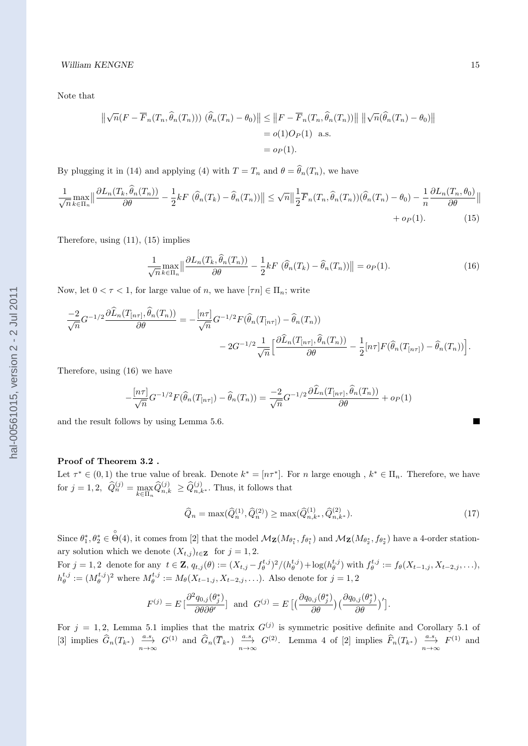Note that

$$
\left\| \sqrt{n} (F - \overline{F}_n(T_n, \widehat{\theta}_n(T_n))) (\widehat{\theta}_n(T_n) - \theta_0) \right\| \leq \left\| F - \overline{F}_n(T_n, \widehat{\theta}_n(T_n)) \right\| \left\| \sqrt{n} (\widehat{\theta}_n(T_n) - \theta_0) \right\|
$$
  
=  $o(1)O_P(1)$  a.s.  
=  $o_P(1)$ .

By plugging it in (14) and applying (4) with  $T = T_n$  and  $\theta = \hat{\theta}_n(T_n)$ , we have

$$
\frac{1}{\sqrt{n}} \max_{k \in \Pi_n} \left\| \frac{\partial L_n(T_k, \hat{\theta}_n(T_n))}{\partial \theta} - \frac{1}{2} k F \left( \hat{\theta}_n(T_k) - \hat{\theta}_n(T_n) \right) \right\| \leq \sqrt{n} \left\| \frac{1}{2} \overline{F}_n(T_n, \hat{\theta}_n(T_n)) (\hat{\theta}_n(T_n) - \theta_0) - \frac{1}{n} \frac{\partial L_n(T_n, \theta_0)}{\partial \theta} \right\| + op(1). \tag{15}
$$

Therefore, using (11), (15) implies

$$
\frac{1}{\sqrt{n}} \max_{k \in \Pi_n} \left\| \frac{\partial L_n(T_k, \hat{\theta}_n(T_n))}{\partial \theta} - \frac{1}{2} k F\left(\hat{\theta}_n(T_k) - \hat{\theta}_n(T_n)\right) \right\| = o_P(1). \tag{16}
$$

Now, let  $0 < \tau < 1$ , for large value of *n*, we have  $[\tau n] \in \Pi_n$ ; write

$$
\frac{-2}{\sqrt{n}}G^{-1/2}\frac{\partial \widehat{L}_n(T_{[n\tau]},\widehat{\theta}_n(T_n))}{\partial \theta} = -\frac{[n\tau]}{\sqrt{n}}G^{-1/2}F(\widehat{\theta}_n(T_{[n\tau]}) - \widehat{\theta}_n(T_n))
$$

$$
-2G^{-1/2}\frac{1}{\sqrt{n}}\Big[\frac{\partial \widehat{L}_n(T_{[n\tau]},\widehat{\theta}_n(T_n))}{\partial \theta} - \frac{1}{2}[n\tau]F(\widehat{\theta}_n(T_{[n\tau]}) - \widehat{\theta}_n(T_n))\Big].
$$

Therefore, using (16) we have

$$
-\frac{[n\tau]}{\sqrt{n}}G^{-1/2}F(\widehat{\theta}_n(T_{[n\tau]})-\widehat{\theta}_n(T_n))=\frac{-2}{\sqrt{n}}G^{-1/2}\frac{\partial \widehat{L}_n(T_{[n\tau]},\widehat{\theta}_n(T_n))}{\partial \theta}+o_P(1)
$$

and the result follows by using Lemma 5.6.

#### **Proof of Theorem 3.2 .**

Let  $\tau^* \in (0,1)$  the true value of break. Denote  $k^* = [n\tau^*]$ . For *n* large enough,  $k^* \in \Pi_n$ . Therefore, we have  $f(x, j = 1, 2, \quad \hat{Q}_n^{(j)} = \max_{k \in \Pi_n} \hat{Q}_{n,k}^{(j)} \ge \hat{Q}_{n,k^*}^{(j)}$ . Thus, it follows that

$$
\widehat{Q}_n = \max(\widehat{Q}_n^{(1)}, \widehat{Q}_n^{(2)}) \ge \max(\widehat{Q}_{n,k^*}^{(1)}, \widehat{Q}_{n,k^*}^{(2)}). \tag{17}
$$

Since  $\theta_1^*, \theta_2^* \in \overset{\circ}{\Theta}(4)$ , it comes from [2] that the model  $\mathcal{M}_{\mathbf{Z}}(M_{\theta_1^*}, f_{\theta_1^*})$  and  $\mathcal{M}_{\mathbf{Z}}(M_{\theta_2^*}, f_{\theta_2^*})$  have a 4-order stationary solution which we denote  $(X_{t,j})_{t\in\mathbf{Z}}$  for  $j=1,2$ .

For  $j = 1, 2$  denote for any  $t \in \mathbf{Z}$ ,  $q_{t,j}(\theta) := (X_{t,j} - f_{\theta}^{t,j})^2 / (h_{\theta}^{t,j}) + \log(h_{\theta}^{t,j})$  with  $f_{\theta}^{t,j} := f_{\theta}(X_{t-1,j}, X_{t-2,j}, \ldots)$ ,  $h_{\theta}^{t,j} := (M_{\theta}^{t,j})^2$  where  $M_{\theta}^{t,j} := M_{\theta}(X_{t-1,j}, X_{t-2,j}, \ldots)$ . Also denote for  $j = 1, 2$ 

$$
F^{(j)} = E\left[\frac{\partial^2 q_{0,j}(\theta_j^*)}{\partial \theta \partial \theta'}\right] \text{ and } G^{(j)} = E\left[\left(\frac{\partial q_{0,j}(\theta_j^*)}{\partial \theta}\right)\left(\frac{\partial q_{0,j}(\theta_j^*)}{\partial \theta}\right)'\right].
$$

For  $j = 1, 2$ , Lemma 5.1 implies that the matrix  $G^{(j)}$  is symmetric positive definite and Corollary 5.1 of [3] implies  $\widehat{G}_n(T_{k^*})$   $\frac{a.s}{n\to\infty}$   $G^{(1)}$  and  $\widehat{G}_n(\overline{T}_{k^*})$   $\frac{a.s}{n\to\infty}$   $G^{(2)}$ . Lemma 4 of [2] implies  $\widehat{F}_n(T_{k^*})$   $\frac{a.s}{n\to\infty}$   $F^{(1)}$  and

 $\blacksquare$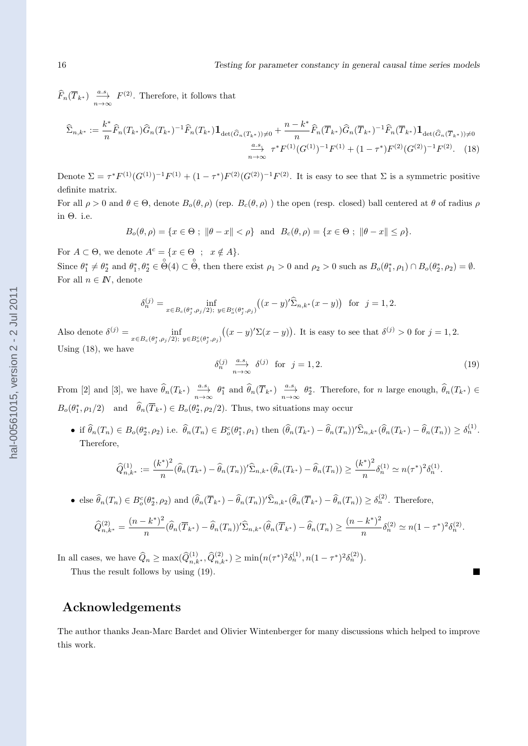$\widehat{F}_n(\overline{T}_{k^*}) \xrightarrow[n \to \infty]{a.s.} F^{(2)}$ . Therefore, it follows that

$$
\widehat{\Sigma}_{n,k^*} := \frac{k^*}{n} \widehat{F}_n(T_{k^*}) \widehat{G}_n(T_{k^*})^{-1} \widehat{F}_n(T_{k^*}) \mathbf{1}_{\det(\widehat{G}_n(T_{k^*})) \neq 0} + \frac{n - k^*}{n} \widehat{F}_n(\overline{T}_{k^*}) \widehat{G}_n(\overline{T}_{k^*})^{-1} \widehat{F}_n(\overline{T}_{k^*}) \mathbf{1}_{\det(\widehat{G}_n(\overline{T}_{k^*})) \neq 0}
$$
\n
$$
\xrightarrow[n \to \infty]{a.s.} \tau^* F^{(1)}(G^{(1)})^{-1} F^{(1)} + (1 - \tau^*) F^{(2)}(G^{(2)})^{-1} F^{(2)}.\tag{18}
$$

Denote  $\Sigma = \tau^* F^{(1)} (G^{(1)})^{-1} F^{(1)} + (1 - \tau^*) F^{(2)} (G^{(2)})^{-1} F^{(2)}$ . It is easy to see that  $\Sigma$  is a symmetric positive definite matrix.

For all  $\rho > 0$  and  $\theta \in \Theta$ , denote  $B_o(\theta, \rho)$  (rep.  $B_c(\theta, \rho)$ ) the open (resp. closed) ball centered at  $\theta$  of radius  $\rho$ in Θ. i.e.

$$
B_o(\theta, \rho) = \{x \in \Theta ; \ \|\theta - x\| < \rho\} \ \text{ and } \ B_c(\theta, \rho) = \{x \in \Theta ; \ \|\theta - x\| \leq \rho\}.
$$

For  $A \subset \Theta$ , we denote  $A^c = \{x \in \Theta \; ; \; x \notin A\}.$ 

Since  $\theta_1^* \neq \theta_2^*$  and  $\theta_1^*, \theta_2^* \in \overset{\circ}{\Theta}(4) \subset \overset{\circ}{\Theta}$ , then there exist  $\rho_1 > 0$  and  $\rho_2 > 0$  such as  $B_o(\theta_1^*, \rho_1) \cap B_o(\theta_2^*, \rho_2) = \emptyset$ . For all  $n \in \mathbb{N}$ , denote

$$
\delta_n^{(j)} = \inf_{x \in B_c(\theta_j^*, \rho_j/2); \ y \in B_c^c(\theta_j^*, \rho_j)} ((x - y)'\widehat{\Sigma}_{n,k^*}(x - y)) \text{ for } j = 1, 2.
$$

Also denote  $\delta^{(j)} = \inf_{x \in B_c(\theta_j^*, \rho_j/2); y \in B_c^c(\theta_j^*, \rho_j)}$  $((x - y)'\Sigma(x - y))$ . It is easy to see that  $\delta^{(j)} > 0$  for  $j = 1, 2$ . Using (18), we have

$$
\delta_n^{(j)} \stackrel{a.s.}{\longrightarrow} \delta^{(j)} \quad \text{for} \quad j = 1, 2. \tag{19}
$$

From [2] and [3], we have  $\widehat{\theta}_n(T_{k^*})$   $\underset{n\to\infty}{\overset{a.s.}{\longrightarrow}} \theta_1^*$  and  $\widehat{\theta}_n(\overline{T}_{k^*})$   $\underset{n\to\infty}{\overset{a.s.}{\longrightarrow}} \theta_2^*$ . Therefore, for n large enough,  $\widehat{\theta}_n(T_{k^*}) \in$  $B_o(\theta_1^*, \rho_1/2)$  and  $\hat{\theta}_n(\overline{T}_{k^*}) \in B_o(\theta_2^*, \rho_2/2)$ . Thus, two situations may occur

• if  $\widehat{\theta}_n(T_n) \in B_o(\theta_2^*, \rho_2)$  i.e.  $\widehat{\theta}_n(T_n) \in B_o^c(\theta_1^*, \rho_1)$  then  $(\widehat{\theta}_n(T_{k^*}) - \widehat{\theta}_n(T_n))^{\prime} \widehat{\Sigma}_{n,k^*}(\widehat{\theta}_n(T_{k^*}) - \widehat{\theta}_n(T_n)) \ge \delta_n^{(1)}$ . Therefore,

$$
\widehat{Q}_{n,k^*}^{(1)} := \frac{(k^*)^2}{n} (\widehat{\theta}_n(T_{k^*}) - \widehat{\theta}_n(T_n))' \widehat{\Sigma}_{n,k^*} (\widehat{\theta}_n(T_{k^*}) - \widehat{\theta}_n(T_n)) \ge \frac{(k^*)^2}{n} \delta_n^{(1)} \simeq n(\tau^*)^2 \delta_n^{(1)}.
$$

• else  $\widehat{\theta}_n(T_n) \in B_o^c(\theta_2^*, \rho_2)$  and  $(\widehat{\theta}_n(\overline{T}_{k^*}) - \widehat{\theta}_n(T_n))^{\prime} \widehat{\Sigma}_{n,k^*}(\widehat{\theta}_n(\overline{T}_{k^*}) - \widehat{\theta}_n(T_n)) \geq \delta_n^{(2)}$ . Therefore,

$$
\widehat{Q}_{n,k^*}^{(2)} = \frac{(n-k^*)^2}{n} (\widehat{\theta}_n(\overline{T}_{k^*}) - \widehat{\theta}_n(T_n))' \widehat{\Sigma}_{n,k^*} (\widehat{\theta}_n(\overline{T}_{k^*}) - \widehat{\theta}_n(T_n) \ge \frac{(n-k^*)^2}{n} \delta_n^{(2)} \simeq n(1-\tau^*)^2 \delta_n^{(2)}.
$$

In all cases, we have  $\widehat{Q}_n \ge \max(\widehat{Q}_{n,k^*}^{(1)}, \widehat{Q}_{n,k^*}^{(2)}) \ge \min(n(\tau^*)^2 \delta_n^{(1)}, n(1-\tau^*)^2 \delta_n^{(2)}).$ 

Thus the result follows by using (19).

# **Acknowledgements**

The author thanks Jean-Marc Bardet and Olivier Wintenberger for many discussions which helped to improve this work.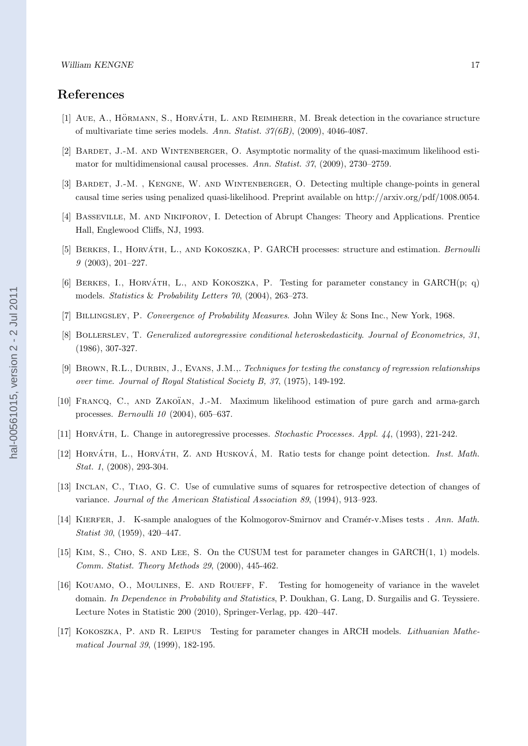# **References**

- [1] AUE, A., HÖRMANN, S., HORVÁTH, L. AND REIMHERR, M. Break detection in the covariance structure of multivariate time series models. *Ann. Statist. 37(6B)*, (2009), 4046-4087.
- [2] Bardet, J.-M. and Wintenberger, O. Asymptotic normality of the quasi-maximum likelihood estimator for multidimensional causal processes. *Ann. Statist. 37*, (2009), 2730–2759.
- [3] BARDET, J.-M., KENGNE, W. AND WINTENBERGER, O. Detecting multiple change-points in general causal time series using penalized quasi-likelihood. Preprint available on http://arxiv.org/pdf/1008.0054.
- [4] Basseville, M. and Nikiforov, I. Detection of Abrupt Changes: Theory and Applications. Prentice Hall, Englewood Cliffs, NJ, 1993.
- [5] BERKES, I., HORVÁTH, L., AND KOKOSZKA, P. GARCH processes: structure and estimation. *Bernoulli 9* (2003), 201–227.
- [6] BERKES, I., HORVATH, L., AND KOKOSZKA, P. Testing for parameter constancy in  $GARCH(p; q)$ models. *Statistics* & *Probability Letters 70*, (2004), 263–273.
- [7] Billingsley, P. *Convergence of Probability Measures*. John Wiley & Sons Inc., New York, 1968.
- [8] Bollerslev, T. *Generalized autoregressive conditional heteroskedasticity*. *Journal of Econometrics, 31*, (1986), 307-327.
- [9] Brown, R.L., Durbin, J., Evans, J.M.,. *Techniques for testing the constancy of regression relationships over time*. *Journal of Royal Statistical Society B, 37*, (1975), 149-192.
- [10] FRANCQ, C., AND ZAKOÏAN, J.-M. Maximum likelihood estimation of pure garch and arma-garch processes. *Bernoulli 10* (2004), 605–637.
- [11] Horvath, L. ´ Change in autoregressive processes. *Stochastic Processes. Appl. 44*, (1993), 221-242.
- [12] HORVÁTH, L., HORVÁTH, Z. AND HUSKOVÁ, M. Ratio tests for change point detection. *Inst. Math. Stat. 1*, (2008), 293-304.
- [13] Inclan, C., Tiao, G. C. Use of cumulative sums of squares for retrospective detection of changes of variance. *Journal of the American Statistical Association 89*, (1994), 913–923.
- [14] Kierfer, J. K-sample analogues of the Kolmogorov-Smirnov and Cram´er-v.Mises tests . *Ann. Math. Statist 30*, (1959), 420–447.
- [15] Kim, S., Cho, S. and Lee, S. On the CUSUM test for parameter changes in GARCH(1, 1) models. *Comm. Statist. Theory Methods 29*, (2000), 445-462.
- [16] Kouamo, O., Moulines, E. and Roueff, F. Testing for homogeneity of variance in the wavelet domain. *In Dependence in Probability and Statistics*, P. Doukhan, G. Lang, D. Surgailis and G. Teyssiere. Lecture Notes in Statistic 200 (2010), Springer-Verlag, pp. 420–447.
- [17] Kokoszka, P. and R. Leipus Testing for parameter changes in ARCH models. *Lithuanian Mathematical Journal 39*, (1999), 182-195.